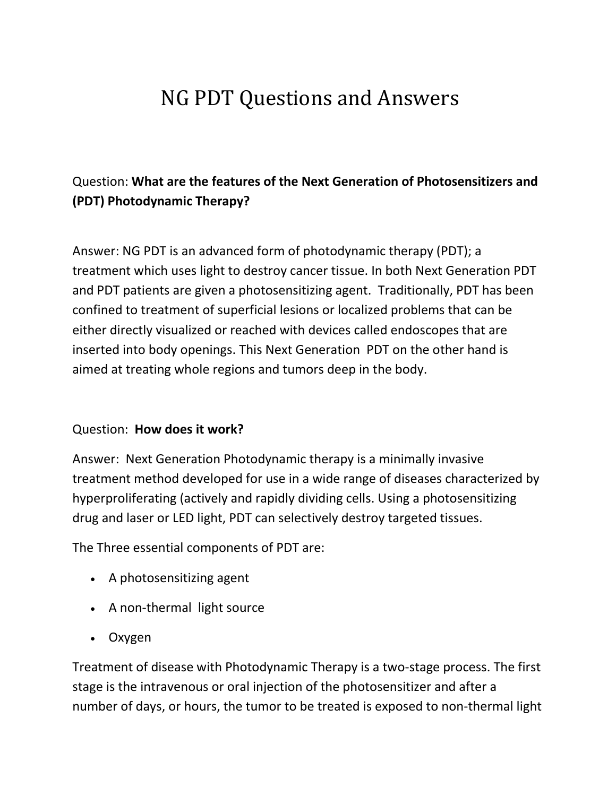# NG PDT Questions and Answers

# Question: **What are the features of the Next Generation of Photosensitizers and (PDT) Photodynamic Therapy?**

Answer: NG PDT is an advanced form of photodynamic therapy (PDT); a treatment which uses light to destroy cancer tissue. In both Next Generation PDT and PDT patients are given a photosensitizing agent. Traditionally, PDT has been confined to treatment of superficial lesions or localized problems that can be either directly visualized or reached with devices called endoscopes that are inserted into body openings. This Next Generation PDT on the other hand is aimed at treating whole regions and tumors deep in the body.

#### Question: **How does it work?**

Answer: Next Generation Photodynamic therapy is a minimally invasive treatment method developed for use in a wide range of diseases characterized by hyperproliferating (actively and rapidly dividing cells. Using a photosensitizing drug and laser or LED light, PDT can selectively destroy targeted tissues.

The Three essential components of PDT are:

- A photosensitizing agent
- A non-thermal light source
- Oxygen

Treatment of disease with Photodynamic Therapy is a two-stage process. The first stage is the intravenous or oral injection of the photosensitizer and after a number of days, or hours, the tumor to be treated is exposed to non-thermal light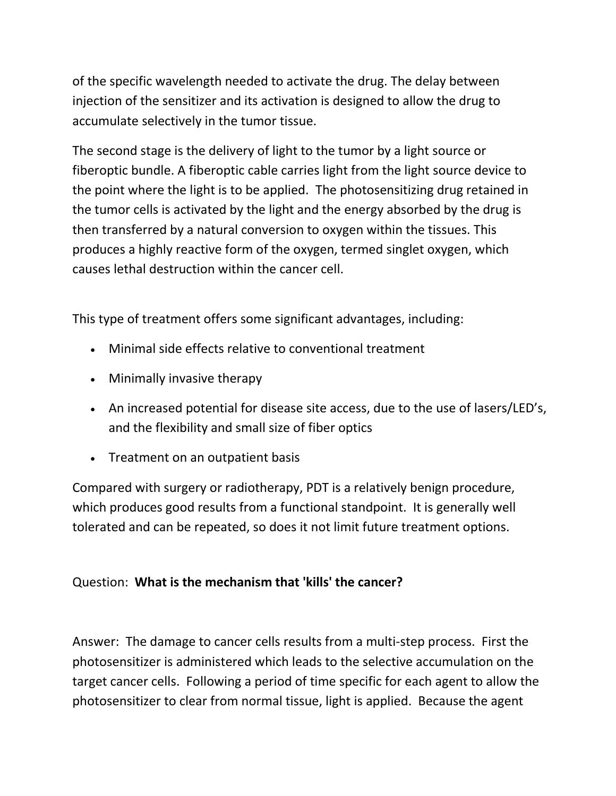of the specific wavelength needed to activate the drug. The delay between injection of the sensitizer and its activation is designed to allow the drug to accumulate selectively in the tumor tissue.

The second stage is the delivery of light to the tumor by a light source or fiberoptic bundle. A fiberoptic cable carries light from the light source device to the point where the light is to be applied. The photosensitizing drug retained in the tumor cells is activated by the light and the energy absorbed by the drug is then transferred by a natural conversion to oxygen within the tissues. This produces a highly reactive form of the oxygen, termed singlet oxygen, which causes lethal destruction within the cancer cell.

This type of treatment offers some significant advantages, including:

- Minimal side effects relative to conventional treatment
- Minimally invasive therapy
- An increased potential for disease site access, due to the use of lasers/LED's, and the flexibility and small size of fiber optics
- Treatment on an outpatient basis

Compared with surgery or radiotherapy, PDT is a relatively benign procedure, which produces good results from a functional standpoint. It is generally well tolerated and can be repeated, so does it not limit future treatment options.

### Question: **What is the mechanism that 'kills' the cancer?**

Answer: The damage to cancer cells results from a multi-step process. First the photosensitizer is administered which leads to the selective accumulation on the target cancer cells. Following a period of time specific for each agent to allow the photosensitizer to clear from normal tissue, light is applied. Because the agent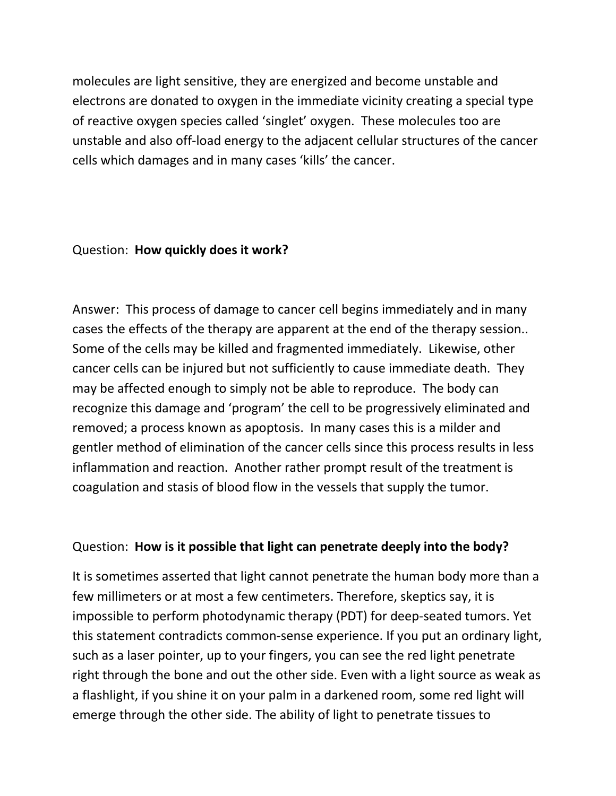molecules are light sensitive, they are energized and become unstable and electrons are donated to oxygen in the immediate vicinity creating a special type of reactive oxygen species called 'singlet' oxygen. These molecules too are unstable and also off-load energy to the adjacent cellular structures of the cancer cells which damages and in many cases 'kills' the cancer.

#### Question: **How quickly does it work?**

Answer: This process of damage to cancer cell begins immediately and in many cases the effects of the therapy are apparent at the end of the therapy session.. Some of the cells may be killed and fragmented immediately. Likewise, other cancer cells can be injured but not sufficiently to cause immediate death. They may be affected enough to simply not be able to reproduce. The body can recognize this damage and 'program' the cell to be progressively eliminated and removed; a process known as apoptosis. In many cases this is a milder and gentler method of elimination of the cancer cells since this process results in less inflammation and reaction. Another rather prompt result of the treatment is coagulation and stasis of blood flow in the vessels that supply the tumor.

#### Question: **How is it possible that light can penetrate deeply into the body?**

It is sometimes asserted that light cannot penetrate the human body more than a few millimeters or at most a few centimeters. Therefore, skeptics say, it is impossible to perform photodynamic therapy (PDT) for deep-seated tumors. Yet this statement contradicts common-sense experience. If you put an ordinary light, such as a laser pointer, up to your fingers, you can see the red light penetrate right through the bone and out the other side. Even with a light source as weak as a flashlight, if you shine it on your palm in a darkened room, some red light will emerge through the other side. The ability of light to penetrate tissues to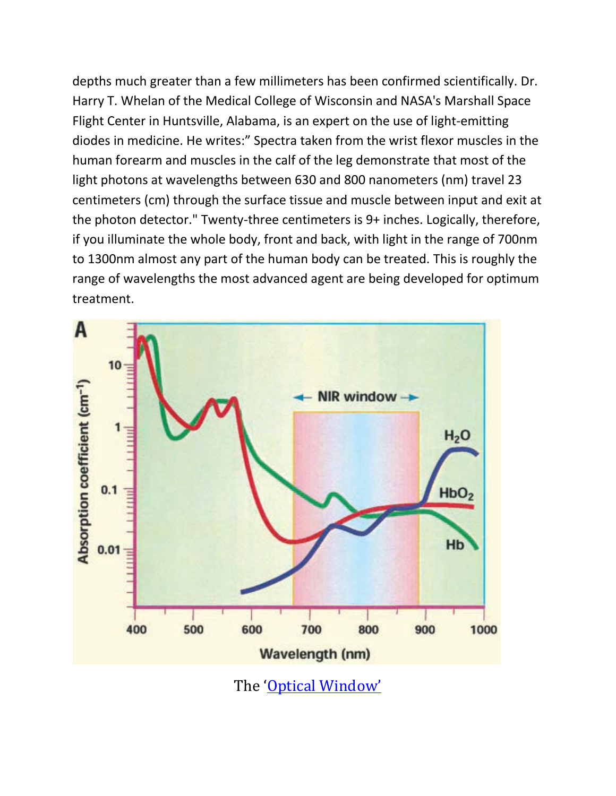depths much greater than a few millimeters has been confirmed scientifically. Dr. Harry T. Whelan of the Medical College of Wisconsin and NASA's Marshall Space Flight Center in Huntsville, Alabama, is an expert on the use of light-emitting diodes in medicine. He writes:" Spectra taken from the wrist flexor muscles in the human forearm and muscles in the calf of the leg demonstrate that most of the light photons at wavelengths between 630 and 800 nanometers (nm) travel 23 centimeters (cm) through the surface tissue and muscle between input and exit at the photon detector." Twenty-three centimeters is 9+ inches. Logically, therefore, if you illuminate the whole body, front and back, with light in the range of 700nm to 1300nm almost any part of the human body can be treated. This is roughly the range of wavelengths the most advanced agent are being developed for optimum treatment.



The ['Optical Window'](http://www.reference.com/browse/wiki/Optical_window)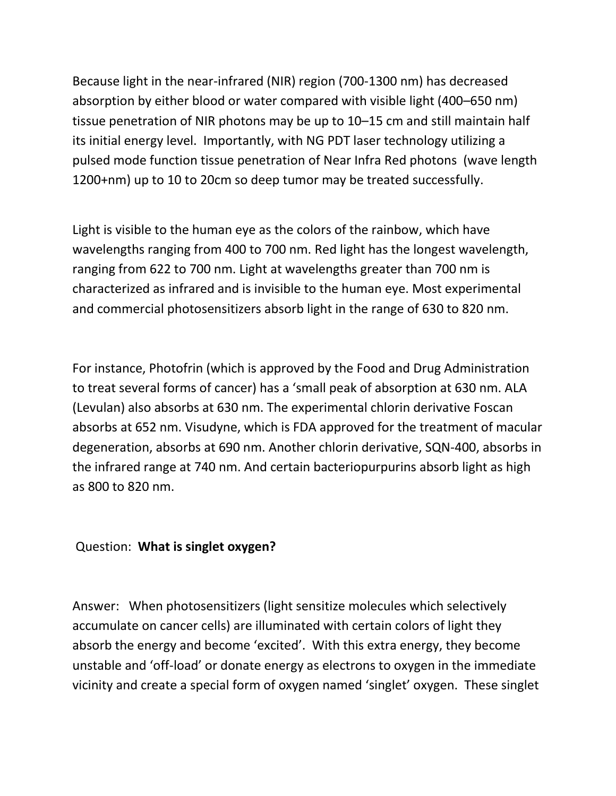Because light in the near-infrared (NIR) region (700-1300 nm) has decreased absorption by either blood or water compared with visible light (400–650 nm) tissue penetration of NIR photons may be up to 10–15 cm and still maintain half its initial energy level. Importantly, with NG PDT laser technology utilizing a pulsed mode function tissue penetration of Near Infra Red photons (wave length 1200+nm) up to 10 to 20cm so deep tumor may be treated successfully.

Light is visible to the human eye as the colors of the rainbow, which have wavelengths ranging from 400 to 700 nm. Red light has the longest wavelength, ranging from 622 to 700 nm. Light at wavelengths greater than 700 nm is characterized as infrared and is invisible to the human eye. Most experimental and commercial photosensitizers absorb light in the range of 630 to 820 nm.

For instance, Photofrin (which is approved by the Food and Drug Administration to treat several forms of cancer) has a 'small peak of absorption at 630 nm. ALA (Levulan) also absorbs at 630 nm. The experimental chlorin derivative Foscan absorbs at 652 nm. Visudyne, which is FDA approved for the treatment of macular degeneration, absorbs at 690 nm. Another chlorin derivative, SQN-400, absorbs in the infrared range at 740 nm. And certain bacteriopurpurins absorb light as high as 800 to 820 nm.

### Question: **What is singlet oxygen?**

Answer: When photosensitizers (light sensitize molecules which selectively accumulate on cancer cells) are illuminated with certain colors of light they absorb the energy and become 'excited'. With this extra energy, they become unstable and 'off-load' or donate energy as electrons to oxygen in the immediate vicinity and create a special form of oxygen named 'singlet' oxygen. These singlet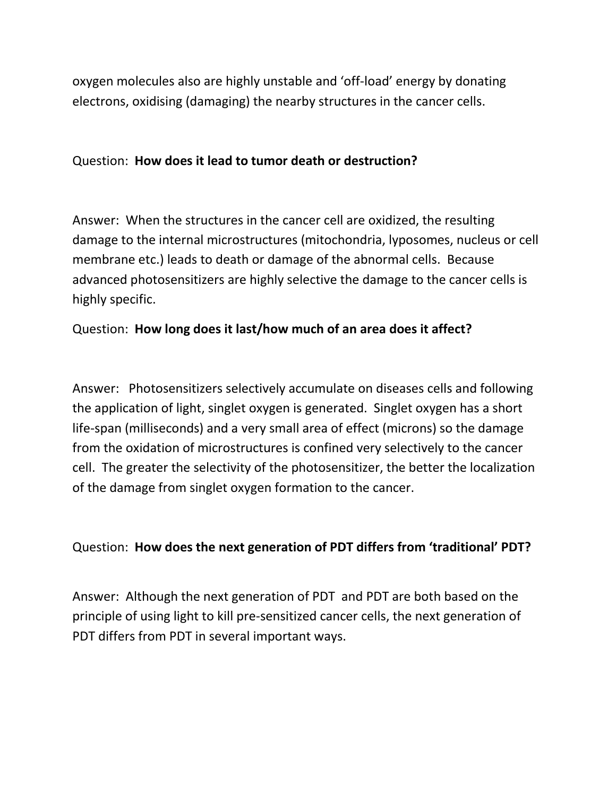oxygen molecules also are highly unstable and 'off-load' energy by donating electrons, oxidising (damaging) the nearby structures in the cancer cells.

#### Question: **How does it lead to tumor death or destruction?**

Answer: When the structures in the cancer cell are oxidized, the resulting damage to the internal microstructures (mitochondria, lyposomes, nucleus or cell membrane etc.) leads to death or damage of the abnormal cells. Because advanced photosensitizers are highly selective the damage to the cancer cells is highly specific.

### Question: **How long does it last/how much of an area does it affect?**

Answer: Photosensitizers selectively accumulate on diseases cells and following the application of light, singlet oxygen is generated. Singlet oxygen has a short life-span (milliseconds) and a very small area of effect (microns) so the damage from the oxidation of microstructures is confined very selectively to the cancer cell. The greater the selectivity of the photosensitizer, the better the localization of the damage from singlet oxygen formation to the cancer.

### Question: **How does the next generation of PDT differs from 'traditional' PDT?**

Answer: Although the next generation of PDT and PDT are both based on the principle of using light to kill pre-sensitized cancer cells, the next generation of PDT differs from PDT in several important ways.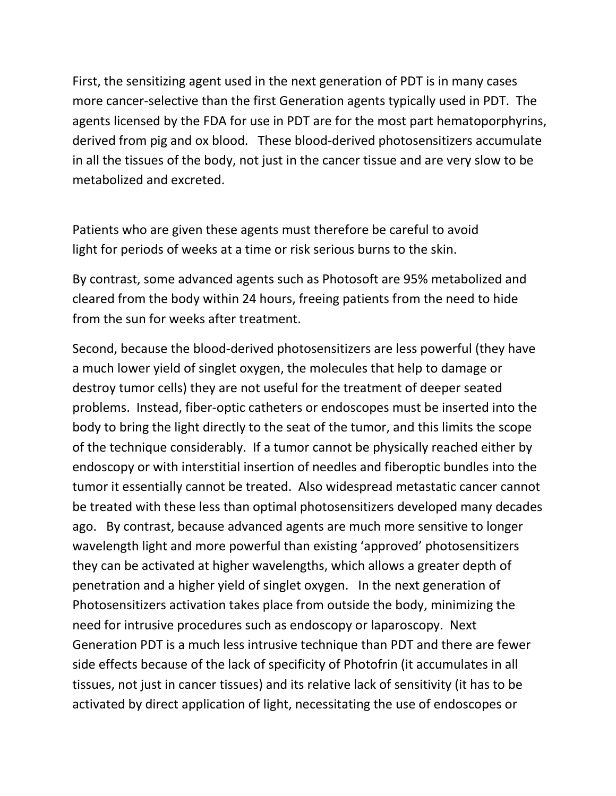First, the sensitizing agent used in the next generation of PDT is in many cases more cancer-selective than the first Generation agents typically used in PDT. The agents licensed by the FDA for use in PDT are for the most part hematoporphyrins, derived from pig and ox blood. These blood-derived photosensitizers accumulate in all the tissues of the body, not just in the cancer tissue and are very slow to be metabolized and excreted.

Patients who are given these agents must therefore be careful to avoid light for periods of weeks at a time or risk serious burns to the skin.

By contrast, some advanced agents such as Photosoft are 95% metabolized and cleared from the body within 24 hours, freeing patients from the need to hide from the sun for weeks after treatment.

Second, because the blood-derived photosensitizers are less powerful (they have a much lower yield of singlet oxygen, the molecules that help to damage or destroy tumor cells) they are not useful for the treatment of deeper seated problems. Instead, fiber-optic catheters or endoscopes must be inserted into the body to bring the light directly to the seat of the tumor, and this limits the scope of the technique considerably. If a tumor cannot be physically reached either by endoscopy or with interstitial insertion of needles and fiberoptic bundles into the tumor it essentially cannot be treated. Also widespread metastatic cancer cannot be treated with these less than optimal photosensitizers developed many decades ago. By contrast, because advanced agents are much more sensitive to longer wavelength light and more powerful than existing 'approved' photosensitizers they can be activated at higher wavelengths, which allows a greater depth of penetration and a higher yield of singlet oxygen. In the next generation of Photosensitizers activation takes place from outside the body, minimizing the need for intrusive procedures such as endoscopy or laparoscopy. Next Generation PDT is a much less intrusive technique than PDT and there are fewer side effects because of the lack of specificity of Photofrin (it accumulates in all tissues, not just in cancer tissues) and its relative lack of sensitivity (it has to be activated by direct application of light, necessitating the use of endoscopes or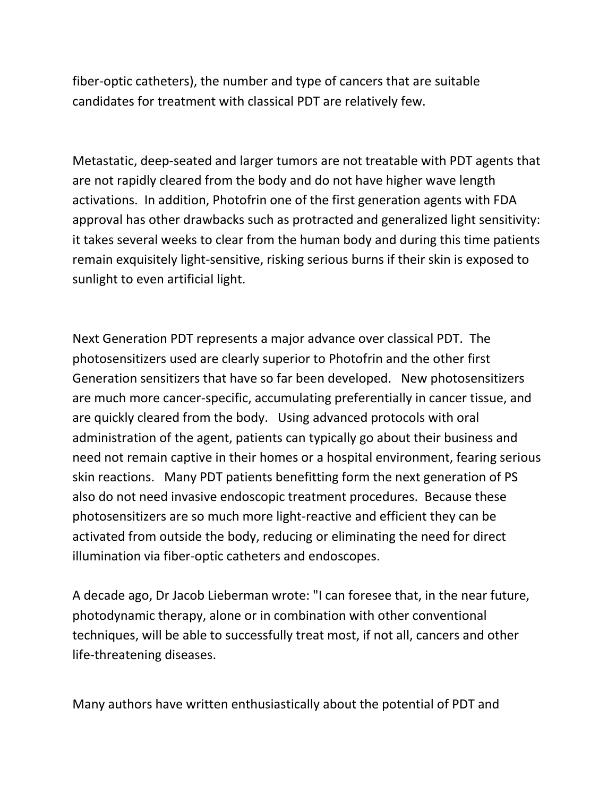fiber-optic catheters), the number and type of cancers that are suitable candidates for treatment with classical PDT are relatively few.

Metastatic, deep-seated and larger tumors are not treatable with PDT agents that are not rapidly cleared from the body and do not have higher wave length activations. In addition, Photofrin one of the first generation agents with FDA approval has other drawbacks such as protracted and generalized light sensitivity: it takes several weeks to clear from the human body and during this time patients remain exquisitely light-sensitive, risking serious burns if their skin is exposed to sunlight to even artificial light.

Next Generation PDT represents a major advance over classical PDT. The photosensitizers used are clearly superior to Photofrin and the other first Generation sensitizers that have so far been developed. New photosensitizers are much more cancer-specific, accumulating preferentially in cancer tissue, and are quickly cleared from the body. Using advanced protocols with oral administration of the agent, patients can typically go about their business and need not remain captive in their homes or a hospital environment, fearing serious skin reactions. Many PDT patients benefitting form the next generation of PS also do not need invasive endoscopic treatment procedures. Because these photosensitizers are so much more light-reactive and efficient they can be activated from outside the body, reducing or eliminating the need for direct illumination via fiber-optic catheters and endoscopes.

A decade ago, Dr Jacob Lieberman wrote: "I can foresee that, in the near future, photodynamic therapy, alone or in combination with other conventional techniques, will be able to successfully treat most, if not all, cancers and other life-threatening diseases.

Many authors have written enthusiastically about the potential of PDT and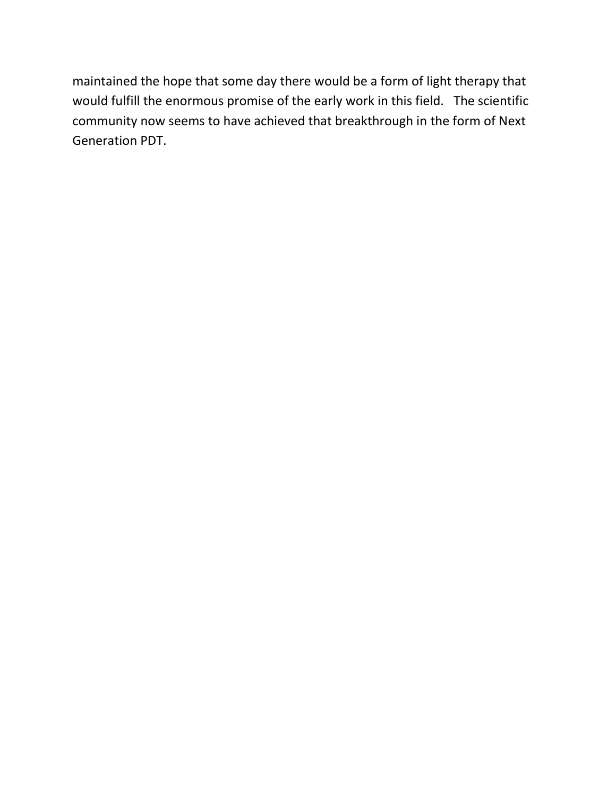maintained the hope that some day there would be a form of light therapy that would fulfill the enormous promise of the early work in this field. The scientific community now seems to have achieved that breakthrough in the form of Next Generation PDT.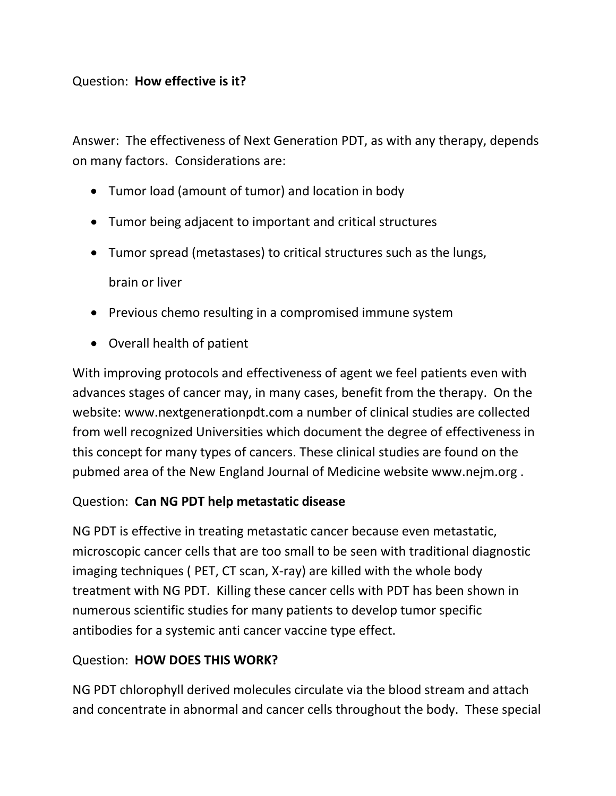### Question: **How effective is it?**

Answer: The effectiveness of Next Generation PDT, as with any therapy, depends on many factors. Considerations are:

- Tumor load (amount of tumor) and location in body
- Tumor being adjacent to important and critical structures
- Tumor spread (metastases) to critical structures such as the lungs, brain or liver
- Previous chemo resulting in a compromised immune system
- Overall health of patient

With improving protocols and effectiveness of agent we feel patients even with advances stages of cancer may, in many cases, benefit from the therapy. On the website: [www.nextgenerationpdt.com](http://www.nextgenerationpdt.com/) a number of clinical studies are collected from well recognized Universities which document the degree of effectiveness in this concept for many types of cancers. These clinical studies are found on the pubmed area of the New England Journal of Medicine website [www.nejm.org](http://www.nejm.org/) .

### Question: **Can NG PDT help metastatic disease**

NG PDT is effective in treating metastatic cancer because even metastatic, microscopic cancer cells that are too small to be seen with traditional diagnostic imaging techniques ( PET, CT scan, X-ray) are killed with the whole body treatment with NG PDT. Killing these cancer cells with PDT has been shown in numerous scientific studies for many patients to develop tumor specific antibodies for a systemic anti cancer vaccine type effect.

### Question: **HOW DOES THIS WORK?**

NG PDT chlorophyll derived molecules circulate via the blood stream and attach and concentrate in abnormal and cancer cells throughout the body. These special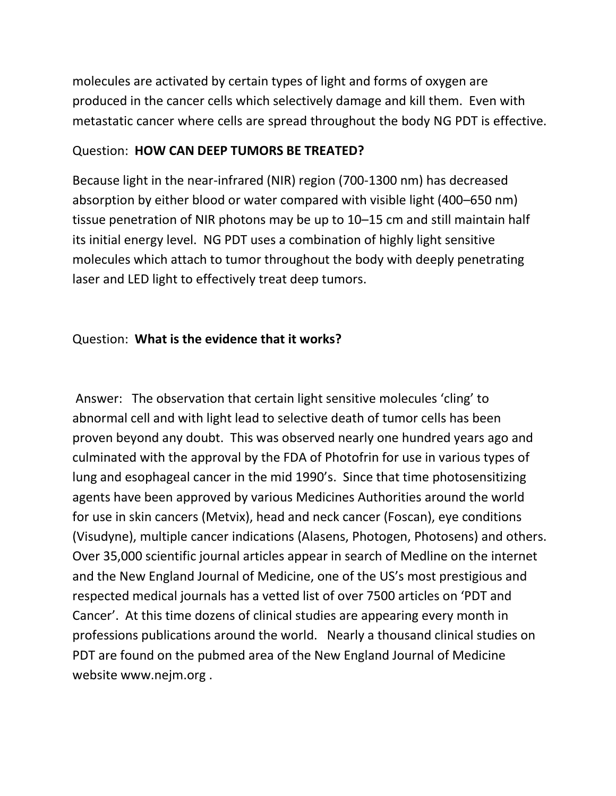molecules are activated by certain types of light and forms of oxygen are produced in the cancer cells which selectively damage and kill them. Even with metastatic cancer where cells are spread throughout the body NG PDT is effective.

### Question: **HOW CAN DEEP TUMORS BE TREATED?**

Because light in the near-infrared (NIR) region (700-1300 nm) has decreased absorption by either blood or water compared with visible light (400–650 nm) tissue penetration of NIR photons may be up to 10–15 cm and still maintain half its initial energy level. NG PDT uses a combination of highly light sensitive molecules which attach to tumor throughout the body with deeply penetrating laser and LED light to effectively treat deep tumors.

### Question: **What is the evidence that it works?**

Answer: The observation that certain light sensitive molecules 'cling' to abnormal cell and with light lead to selective death of tumor cells has been proven beyond any doubt. This was observed nearly one hundred years ago and culminated with the approval by the FDA of Photofrin for use in various types of lung and esophageal cancer in the mid 1990's. Since that time photosensitizing agents have been approved by various Medicines Authorities around the world for use in skin cancers (Metvix), head and neck cancer (Foscan), eye conditions (Visudyne), multiple cancer indications (Alasens, Photogen, Photosens) and others. Over 35,000 scientific journal articles appear in search of Medline on the internet and the New England Journal of Medicine, one of the US's most prestigious and respected medical journals has a vetted list of over 7500 articles on 'PDT and Cancer'. At this time dozens of clinical studies are appearing every month in professions publications around the world. Nearly a thousand clinical studies on PDT are found on the pubmed area of the New England Journal of Medicine website [www.nejm.org](http://www.nejm.org/) .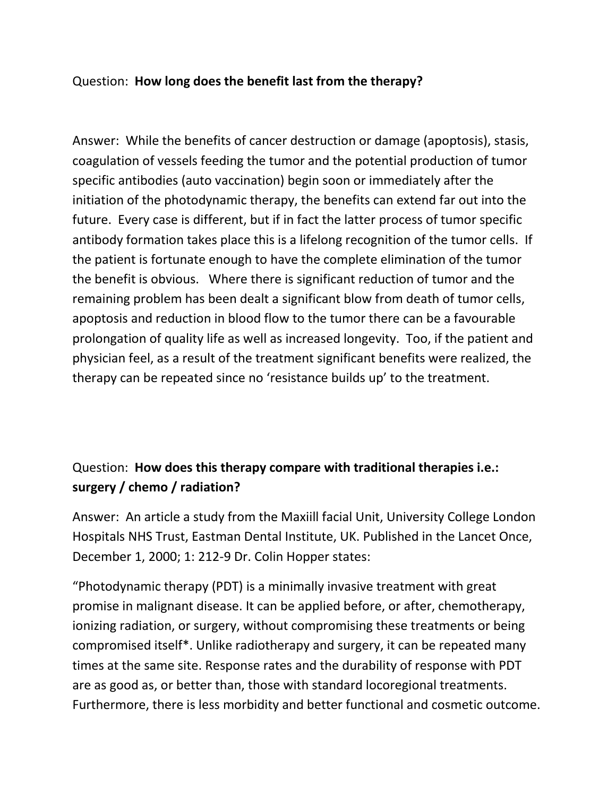### Question: **How long does the benefit last from the therapy?**

Answer: While the benefits of cancer destruction or damage (apoptosis), stasis, coagulation of vessels feeding the tumor and the potential production of tumor specific antibodies (auto vaccination) begin soon or immediately after the initiation of the photodynamic therapy, the benefits can extend far out into the future. Every case is different, but if in fact the latter process of tumor specific antibody formation takes place this is a lifelong recognition of the tumor cells. If the patient is fortunate enough to have the complete elimination of the tumor the benefit is obvious. Where there is significant reduction of tumor and the remaining problem has been dealt a significant blow from death of tumor cells, apoptosis and reduction in blood flow to the tumor there can be a favourable prolongation of quality life as well as increased longevity. Too, if the patient and physician feel, as a result of the treatment significant benefits were realized, the therapy can be repeated since no 'resistance builds up' to the treatment.

# Question: **How does this therapy compare with traditional therapies i.e.: surgery / chemo / radiation?**

Answer: An article a study from the Maxiill facial Unit, University College London Hospitals NHS Trust, Eastman Dental Institute, UK. Published in the Lancet Once, December 1, 2000; 1: 212-9 Dr. Colin Hopper states:

"Photodynamic therapy (PDT) is a minimally invasive treatment with great promise in malignant disease. It can be applied before, or after, chemotherapy, ionizing radiation, or surgery, without compromising these treatments or being compromised itself\*. Unlike radiotherapy and surgery, it can be repeated many times at the same site. Response rates and the durability of response with PDT are as good as, or better than, those with standard locoregional treatments. Furthermore, there is less morbidity and better functional and cosmetic outcome.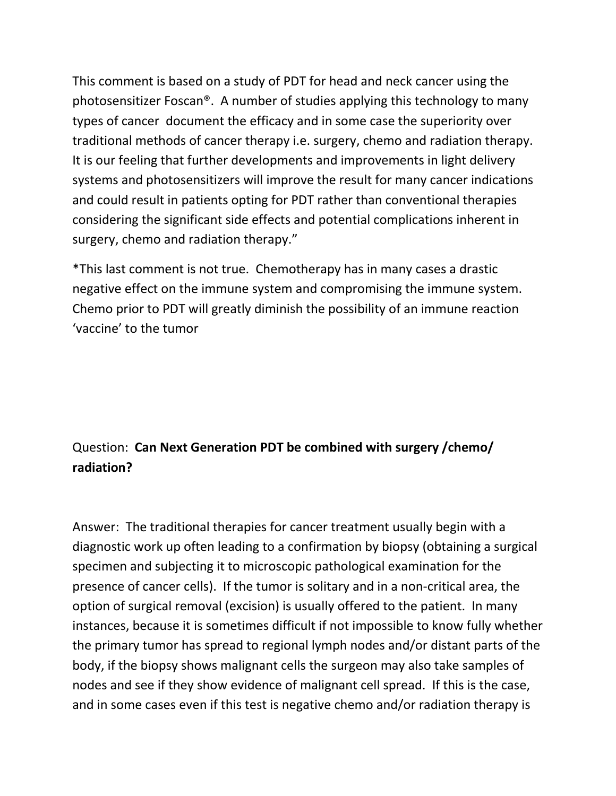This comment is based on a study of PDT for head and neck cancer using the photosensitizer Foscan®. A number of studies applying this technology to many types of cancer document the efficacy and in some case the superiority over traditional methods of cancer therapy i.e. surgery, chemo and radiation therapy. It is our feeling that further developments and improvements in light delivery systems and photosensitizers will improve the result for many cancer indications and could result in patients opting for PDT rather than conventional therapies considering the significant side effects and potential complications inherent in surgery, chemo and radiation therapy."

\*This last comment is not true. Chemotherapy has in many cases a drastic negative effect on the immune system and compromising the immune system. Chemo prior to PDT will greatly diminish the possibility of an immune reaction 'vaccine' to the tumor

# Question: **Can Next Generation PDT be combined with surgery /chemo/ radiation?**

Answer: The traditional therapies for cancer treatment usually begin with a diagnostic work up often leading to a confirmation by biopsy (obtaining a surgical specimen and subjecting it to microscopic pathological examination for the presence of cancer cells). If the tumor is solitary and in a non-critical area, the option of surgical removal (excision) is usually offered to the patient. In many instances, because it is sometimes difficult if not impossible to know fully whether the primary tumor has spread to regional lymph nodes and/or distant parts of the body, if the biopsy shows malignant cells the surgeon may also take samples of nodes and see if they show evidence of malignant cell spread. If this is the case, and in some cases even if this test is negative chemo and/or radiation therapy is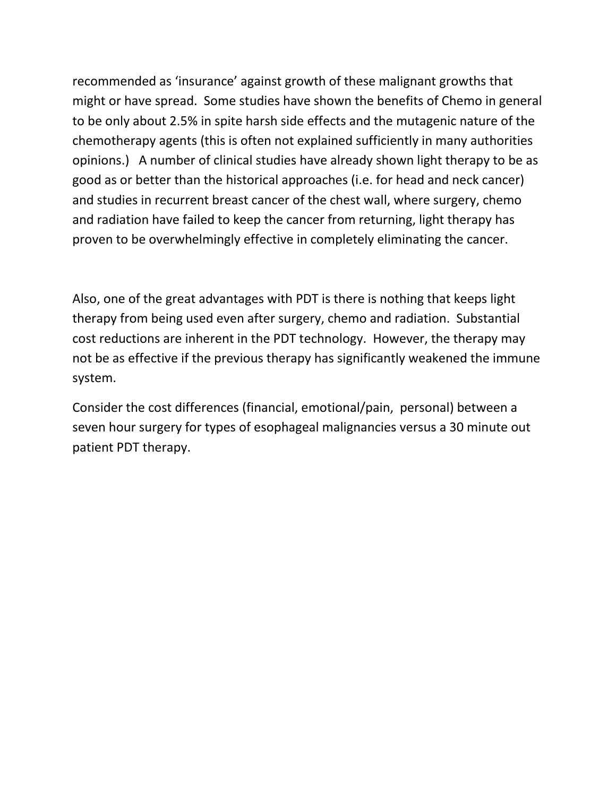recommended as 'insurance' against growth of these malignant growths that might or have spread. Some studies have shown the benefits of Chemo in general to be only about 2.5% in spite harsh side effects and the mutagenic nature of the chemotherapy agents (this is often not explained sufficiently in many authorities opinions.) A number of clinical studies have already shown light therapy to be as good as or better than the historical approaches (i.e. for head and neck cancer) and studies in recurrent breast cancer of the chest wall, where surgery, chemo and radiation have failed to keep the cancer from returning, light therapy has proven to be overwhelmingly effective in completely eliminating the cancer.

Also, one of the great advantages with PDT is there is nothing that keeps light therapy from being used even after surgery, chemo and radiation. Substantial cost reductions are inherent in the PDT technology. However, the therapy may not be as effective if the previous therapy has significantly weakened the immune system.

Consider the cost differences (financial, emotional/pain, personal) between a seven hour surgery for types of esophageal malignancies versus a 30 minute out patient PDT therapy.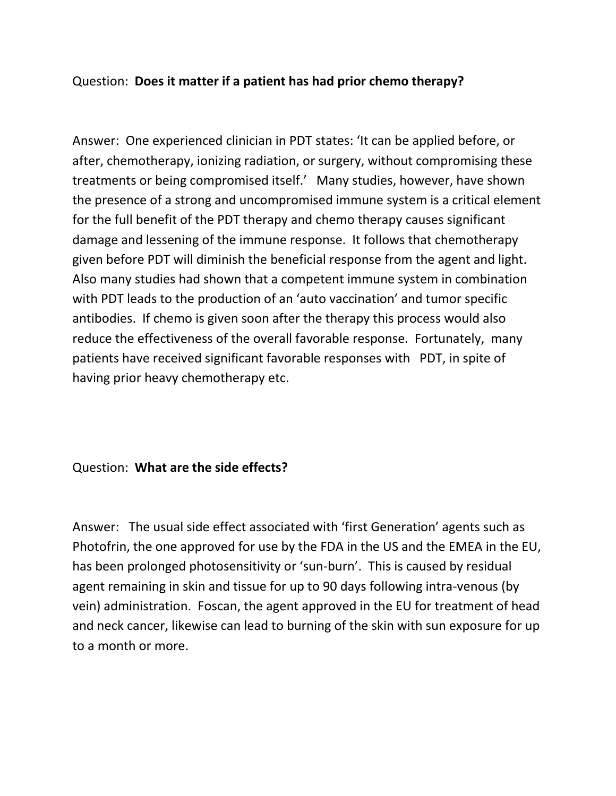### Question: **Does it matter if a patient has had prior chemo therapy?**

Answer: One experienced clinician in PDT states: 'It can be applied before, or after, chemotherapy, ionizing radiation, or surgery, without compromising these treatments or being compromised itself.' Many studies, however, have shown the presence of a strong and uncompromised immune system is a critical element for the full benefit of the PDT therapy and chemo therapy causes significant damage and lessening of the immune response. It follows that chemotherapy given before PDT will diminish the beneficial response from the agent and light. Also many studies had shown that a competent immune system in combination with PDT leads to the production of an 'auto vaccination' and tumor specific antibodies. If chemo is given soon after the therapy this process would also reduce the effectiveness of the overall favorable response. Fortunately, many patients have received significant favorable responses with PDT, in spite of having prior heavy chemotherapy etc.

#### Question: **What are the side effects?**

Answer: The usual side effect associated with 'first Generation' agents such as Photofrin, the one approved for use by the FDA in the US and the EMEA in the EU, has been prolonged photosensitivity or 'sun-burn'. This is caused by residual agent remaining in skin and tissue for up to 90 days following intra-venous (by vein) administration. Foscan, the agent approved in the EU for treatment of head and neck cancer, likewise can lead to burning of the skin with sun exposure for up to a month or more.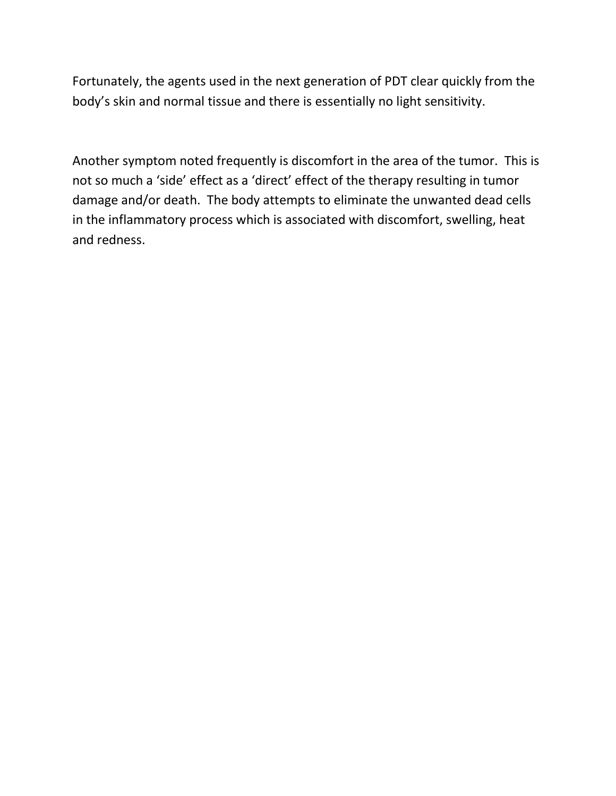Fortunately, the agents used in the next generation of PDT clear quickly from the body's skin and normal tissue and there is essentially no light sensitivity.

Another symptom noted frequently is discomfort in the area of the tumor. This is not so much a 'side' effect as a 'direct' effect of the therapy resulting in tumor damage and/or death. The body attempts to eliminate the unwanted dead cells in the inflammatory process which is associated with discomfort, swelling, heat and redness.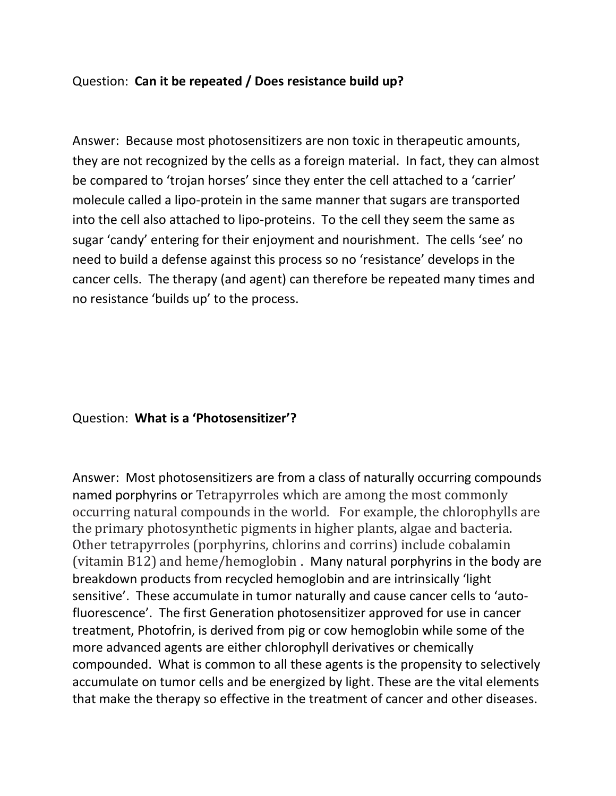### Question: **Can it be repeated / Does resistance build up?**

Answer: Because most photosensitizers are non toxic in therapeutic amounts, they are not recognized by the cells as a foreign material. In fact, they can almost be compared to 'trojan horses' since they enter the cell attached to a 'carrier' molecule called a lipo-protein in the same manner that sugars are transported into the cell also attached to lipo-proteins. To the cell they seem the same as sugar 'candy' entering for their enjoyment and nourishment. The cells 'see' no need to build a defense against this process so no 'resistance' develops in the cancer cells. The therapy (and agent) can therefore be repeated many times and no resistance 'builds up' to the process.

#### Question: **What is a 'Photosensitizer'?**

Answer: Most photosensitizers are from a class of naturally occurring compounds named porphyrins or Tetrapyrroles which are among the most commonly occurring natural compounds in the world. For example, the chlorophylls are the primary photosynthetic pigments in higher plants, algae and bacteria. Other tetrapyrroles (porphyrins, chlorins and corrins) include cobalamin (vitamin B12) and heme/hemoglobin . Many natural porphyrins in the body are breakdown products from recycled hemoglobin and are intrinsically 'light sensitive'. These accumulate in tumor naturally and cause cancer cells to 'autofluorescence'. The first Generation photosensitizer approved for use in cancer treatment, Photofrin, is derived from pig or cow hemoglobin while some of the more advanced agents are either chlorophyll derivatives or chemically compounded. What is common to all these agents is the propensity to selectively accumulate on tumor cells and be energized by light. These are the vital elements that make the therapy so effective in the treatment of cancer and other diseases.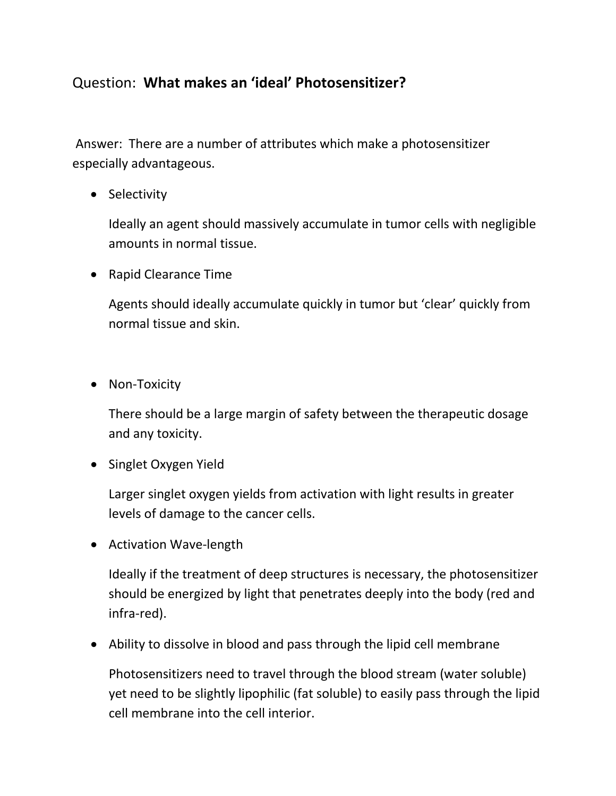# Question: **What makes an 'ideal' Photosensitizer?**

Answer: There are a number of attributes which make a photosensitizer especially advantageous.

• Selectivity

Ideally an agent should massively accumulate in tumor cells with negligible amounts in normal tissue.

• Rapid Clearance Time

Agents should ideally accumulate quickly in tumor but 'clear' quickly from normal tissue and skin.

• Non-Toxicity

There should be a large margin of safety between the therapeutic dosage and any toxicity.

• Singlet Oxygen Yield

Larger singlet oxygen yields from activation with light results in greater levels of damage to the cancer cells.

• Activation Wave-length

Ideally if the treatment of deep structures is necessary, the photosensitizer should be energized by light that penetrates deeply into the body (red and infra-red).

• Ability to dissolve in blood and pass through the lipid cell membrane

Photosensitizers need to travel through the blood stream (water soluble) yet need to be slightly lipophilic (fat soluble) to easily pass through the lipid cell membrane into the cell interior.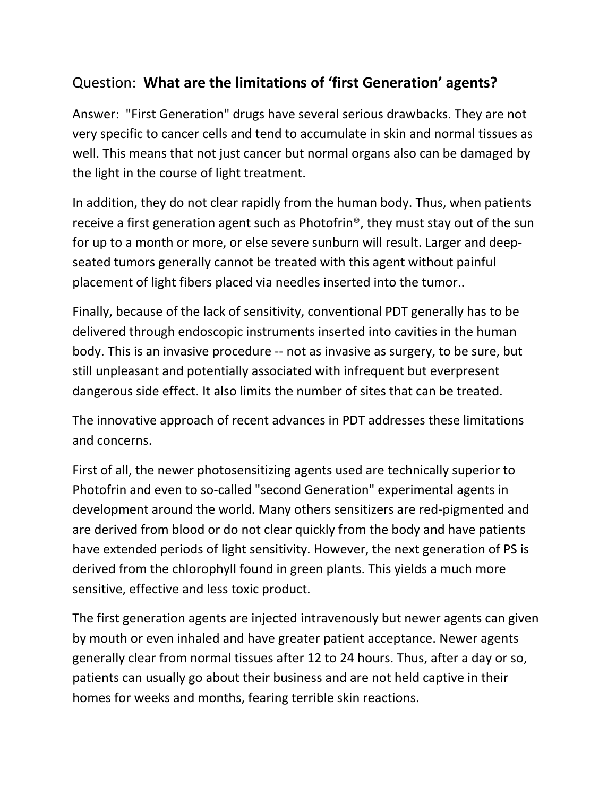# Question: **What are the limitations of 'first Generation' agents?**

Answer: "First Generation" drugs have several serious drawbacks. They are not very specific to cancer cells and tend to accumulate in skin and normal tissues as well. This means that not just cancer but normal organs also can be damaged by the light in the course of light treatment.

In addition, they do not clear rapidly from the human body. Thus, when patients receive a first generation agent such as Photofrin®, they must stay out of the sun for up to a month or more, or else severe sunburn will result. Larger and deepseated tumors generally cannot be treated with this agent without painful placement of light fibers placed via needles inserted into the tumor..

Finally, because of the lack of sensitivity, conventional PDT generally has to be delivered through endoscopic instruments inserted into cavities in the human body. This is an invasive procedure -- not as invasive as surgery, to be sure, but still unpleasant and potentially associated with infrequent but everpresent dangerous side effect. It also limits the number of sites that can be treated.

The innovative approach of recent advances in PDT addresses these limitations and concerns.

First of all, the newer photosensitizing agents used are technically superior to Photofrin and even to so-called "second Generation" experimental agents in development around the world. Many others sensitizers are red-pigmented and are derived from blood or do not clear quickly from the body and have patients have extended periods of light sensitivity. However, the next generation of PS is derived from the chlorophyll found in green plants. This yields a much more sensitive, effective and less toxic product.

The first generation agents are injected intravenously but newer agents can given by mouth or even inhaled and have greater patient acceptance. Newer agents generally clear from normal tissues after 12 to 24 hours. Thus, after a day or so, patients can usually go about their business and are not held captive in their homes for weeks and months, fearing terrible skin reactions.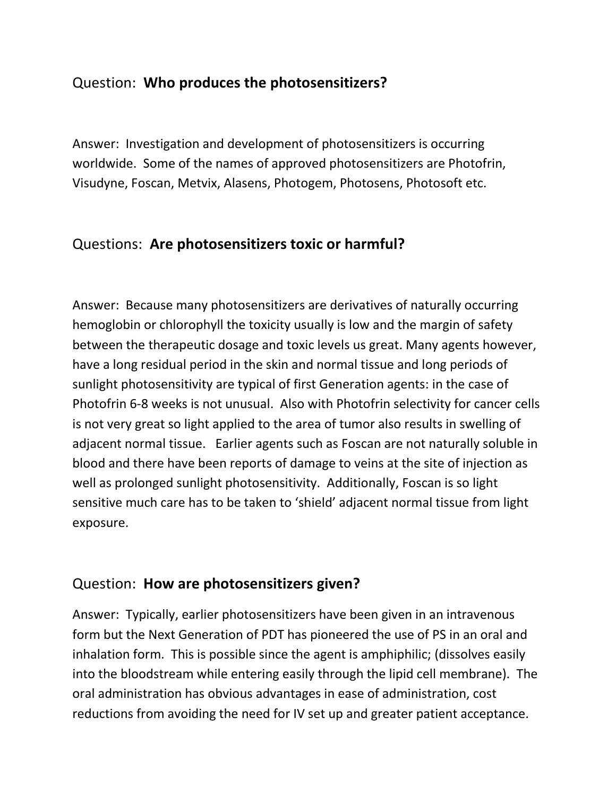# Question: **Who produces the photosensitizers?**

Answer: Investigation and development of photosensitizers is occurring worldwide. Some of the names of approved photosensitizers are Photofrin, Visudyne, Foscan, Metvix, Alasens, Photogem, Photosens, Photosoft etc.

### Questions: **Are photosensitizers toxic or harmful?**

Answer: Because many photosensitizers are derivatives of naturally occurring hemoglobin or chlorophyll the toxicity usually is low and the margin of safety between the therapeutic dosage and toxic levels us great. Many agents however, have a long residual period in the skin and normal tissue and long periods of sunlight photosensitivity are typical of first Generation agents: in the case of Photofrin 6-8 weeks is not unusual. Also with Photofrin selectivity for cancer cells is not very great so light applied to the area of tumor also results in swelling of adjacent normal tissue. Earlier agents such as Foscan are not naturally soluble in blood and there have been reports of damage to veins at the site of injection as well as prolonged sunlight photosensitivity. Additionally, Foscan is so light sensitive much care has to be taken to 'shield' adjacent normal tissue from light exposure.

### Question: **How are photosensitizers given?**

Answer: Typically, earlier photosensitizers have been given in an intravenous form but the Next Generation of PDT has pioneered the use of PS in an oral and inhalation form. This is possible since the agent is amphiphilic; (dissolves easily into the bloodstream while entering easily through the lipid cell membrane). The oral administration has obvious advantages in ease of administration, cost reductions from avoiding the need for IV set up and greater patient acceptance.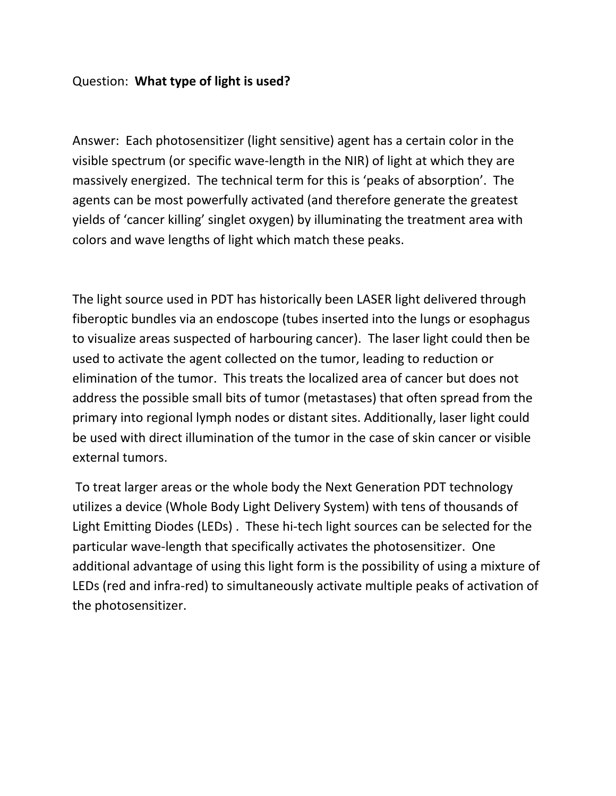### Question: **What type of light is used?**

Answer: Each photosensitizer (light sensitive) agent has a certain color in the visible spectrum (or specific wave-length in the NIR) of light at which they are massively energized. The technical term for this is 'peaks of absorption'. The agents can be most powerfully activated (and therefore generate the greatest yields of 'cancer killing' singlet oxygen) by illuminating the treatment area with colors and wave lengths of light which match these peaks.

The light source used in PDT has historically been LASER light delivered through fiberoptic bundles via an endoscope (tubes inserted into the lungs or esophagus to visualize areas suspected of harbouring cancer). The laser light could then be used to activate the agent collected on the tumor, leading to reduction or elimination of the tumor. This treats the localized area of cancer but does not address the possible small bits of tumor (metastases) that often spread from the primary into regional lymph nodes or distant sites. Additionally, laser light could be used with direct illumination of the tumor in the case of skin cancer or visible external tumors.

To treat larger areas or the whole body the Next Generation PDT technology utilizes a device (Whole Body Light Delivery System) with tens of thousands of Light Emitting Diodes (LEDs) . These hi-tech light sources can be selected for the particular wave-length that specifically activates the photosensitizer. One additional advantage of using this light form is the possibility of using a mixture of LEDs (red and infra-red) to simultaneously activate multiple peaks of activation of the photosensitizer.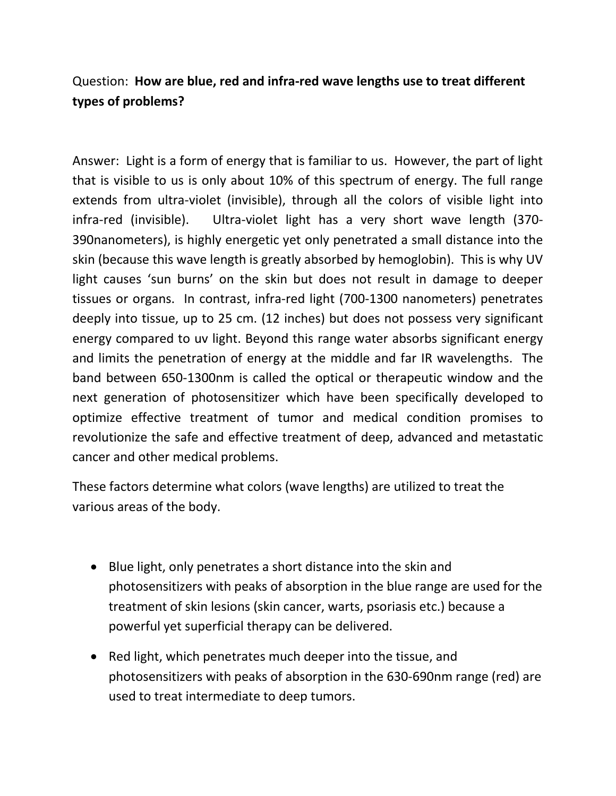# Question: **How are blue, red and infra-red wave lengths use to treat different types of problems?**

Answer: Light is a form of energy that is familiar to us. However, the part of light that is visible to us is only about 10% of this spectrum of energy. The full range extends from ultra-violet (invisible), through all the colors of visible light into infra-red (invisible). Ultra-violet light has a very short wave length (370- 390nanometers), is highly energetic yet only penetrated a small distance into the skin (because this wave length is greatly absorbed by hemoglobin). This is why UV light causes 'sun burns' on the skin but does not result in damage to deeper tissues or organs. In contrast, infra-red light (700-1300 nanometers) penetrates deeply into tissue, up to 25 cm. (12 inches) but does not possess very significant energy compared to uv light. Beyond this range water absorbs significant energy and limits the penetration of energy at the middle and far IR wavelengths. The band between 650-1300nm is called the optical or therapeutic window and the next generation of photosensitizer which have been specifically developed to optimize effective treatment of tumor and medical condition promises to revolutionize the safe and effective treatment of deep, advanced and metastatic cancer and other medical problems.

These factors determine what colors (wave lengths) are utilized to treat the various areas of the body.

- Blue light, only penetrates a short distance into the skin and photosensitizers with peaks of absorption in the blue range are used for the treatment of skin lesions (skin cancer, warts, psoriasis etc.) because a powerful yet superficial therapy can be delivered.
- Red light, which penetrates much deeper into the tissue, and photosensitizers with peaks of absorption in the 630-690nm range (red) are used to treat intermediate to deep tumors.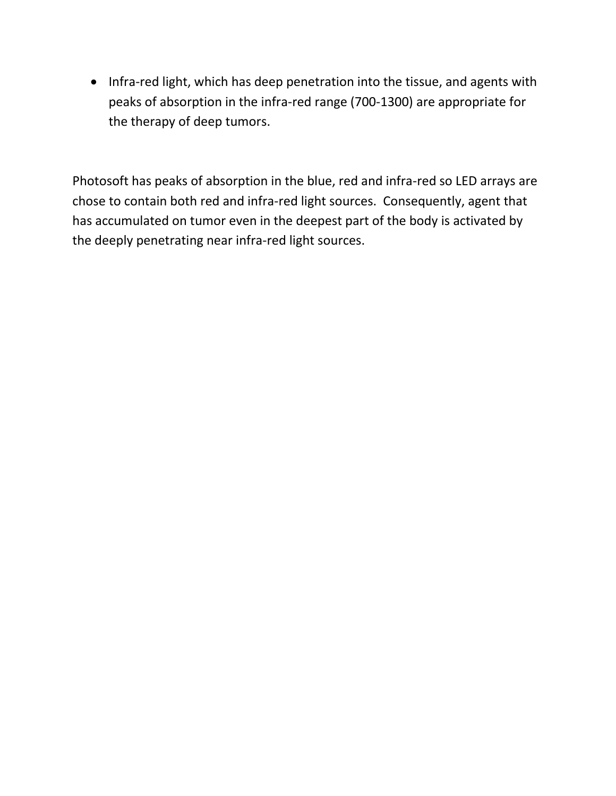• Infra-red light, which has deep penetration into the tissue, and agents with peaks of absorption in the infra-red range (700-1300) are appropriate for the therapy of deep tumors.

Photosoft has peaks of absorption in the blue, red and infra-red so LED arrays are chose to contain both red and infra-red light sources. Consequently, agent that has accumulated on tumor even in the deepest part of the body is activated by the deeply penetrating near infra-red light sources.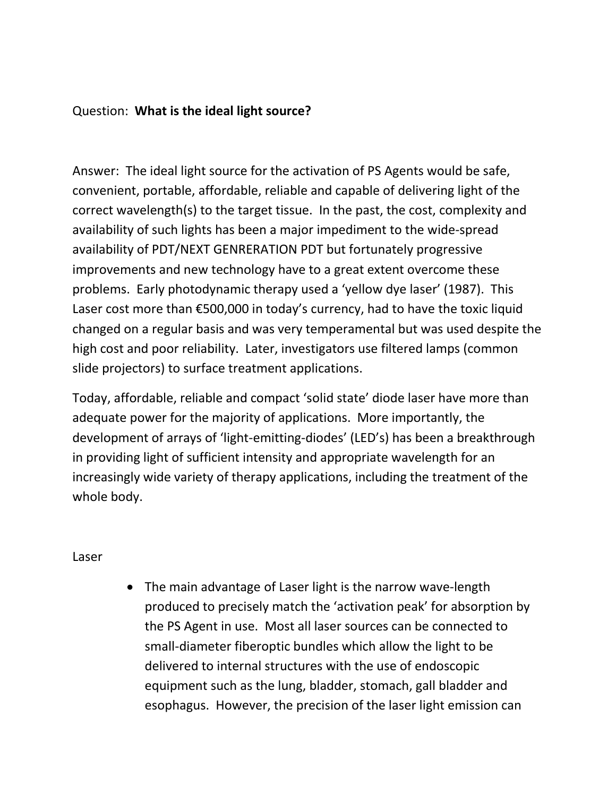#### Question: **What is the ideal light source?**

Answer: The ideal light source for the activation of PS Agents would be safe, convenient, portable, affordable, reliable and capable of delivering light of the correct wavelength(s) to the target tissue. In the past, the cost, complexity and availability of such lights has been a major impediment to the wide-spread availability of PDT/NEXT GENRERATION PDT but fortunately progressive improvements and new technology have to a great extent overcome these problems. Early photodynamic therapy used a 'yellow dye laser' (1987). This Laser cost more than €500,000 in today's currency, had to have the toxic liquid changed on a regular basis and was very temperamental but was used despite the high cost and poor reliability. Later, investigators use filtered lamps (common slide projectors) to surface treatment applications.

Today, affordable, reliable and compact 'solid state' diode laser have more than adequate power for the majority of applications. More importantly, the development of arrays of 'light-emitting-diodes' (LED's) has been a breakthrough in providing light of sufficient intensity and appropriate wavelength for an increasingly wide variety of therapy applications, including the treatment of the whole body.

#### Laser

• The main advantage of Laser light is the narrow wave-length produced to precisely match the 'activation peak' for absorption by the PS Agent in use. Most all laser sources can be connected to small-diameter fiberoptic bundles which allow the light to be delivered to internal structures with the use of endoscopic equipment such as the lung, bladder, stomach, gall bladder and esophagus. However, the precision of the laser light emission can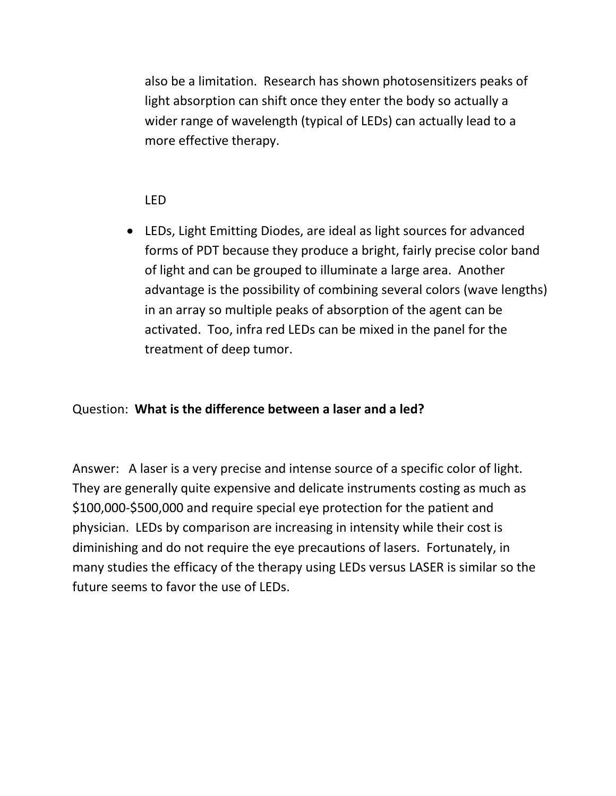also be a limitation. Research has shown photosensitizers peaks of light absorption can shift once they enter the body so actually a wider range of wavelength (typical of LEDs) can actually lead to a more effective therapy.

### LED

• LEDs, Light Emitting Diodes, are ideal as light sources for advanced forms of PDT because they produce a bright, fairly precise color band of light and can be grouped to illuminate a large area. Another advantage is the possibility of combining several colors (wave lengths) in an array so multiple peaks of absorption of the agent can be activated. Too, infra red LEDs can be mixed in the panel for the treatment of deep tumor.

### Question: **What is the difference between a laser and a led?**

Answer: A laser is a very precise and intense source of a specific color of light. They are generally quite expensive and delicate instruments costing as much as \$100,000-\$500,000 and require special eye protection for the patient and physician. LEDs by comparison are increasing in intensity while their cost is diminishing and do not require the eye precautions of lasers. Fortunately, in many studies the efficacy of the therapy using LEDs versus LASER is similar so the future seems to favor the use of LEDs.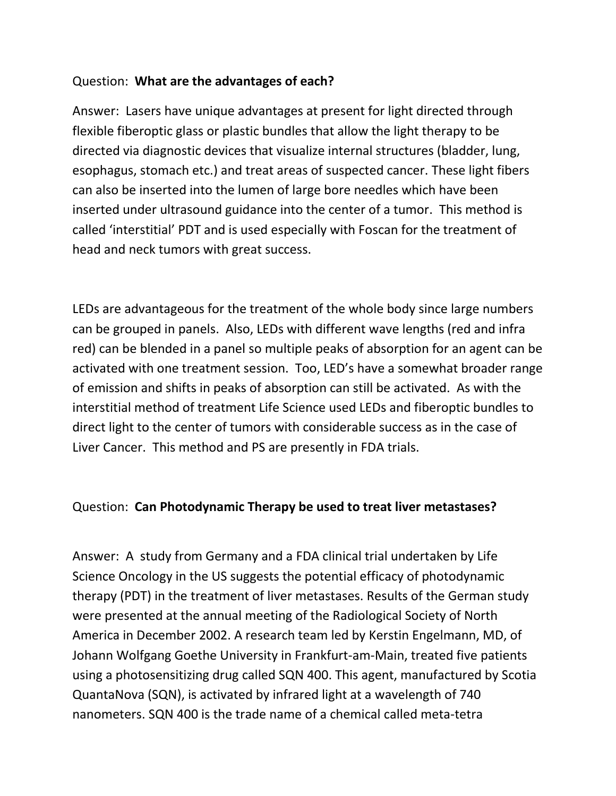### Question: **What are the advantages of each?**

Answer: Lasers have unique advantages at present for light directed through flexible fiberoptic glass or plastic bundles that allow the light therapy to be directed via diagnostic devices that visualize internal structures (bladder, lung, esophagus, stomach etc.) and treat areas of suspected cancer. These light fibers can also be inserted into the lumen of large bore needles which have been inserted under ultrasound guidance into the center of a tumor. This method is called 'interstitial' PDT and is used especially with Foscan for the treatment of head and neck tumors with great success.

LEDs are advantageous for the treatment of the whole body since large numbers can be grouped in panels. Also, LEDs with different wave lengths (red and infra red) can be blended in a panel so multiple peaks of absorption for an agent can be activated with one treatment session. Too, LED's have a somewhat broader range of emission and shifts in peaks of absorption can still be activated. As with the interstitial method of treatment Life Science used LEDs and fiberoptic bundles to direct light to the center of tumors with considerable success as in the case of Liver Cancer. This method and PS are presently in FDA trials.

#### Question: **Can Photodynamic Therapy be used to treat liver metastases?**

Answer: A study from Germany and a FDA clinical trial undertaken by Life Science Oncology in the US suggests the potential efficacy of photodynamic therapy (PDT) in the treatment of liver metastases. Results of the German study were presented at the annual meeting of the Radiological Society of North America in December 2002. A research team led by Kerstin Engelmann, MD, of Johann Wolfgang Goethe University in Frankfurt-am-Main, treated five patients using a photosensitizing drug called SQN 400. This agent, manufactured by Scotia QuantaNova (SQN), is activated by infrared light at a wavelength of 740 nanometers. SQN 400 is the trade name of a chemical called meta-tetra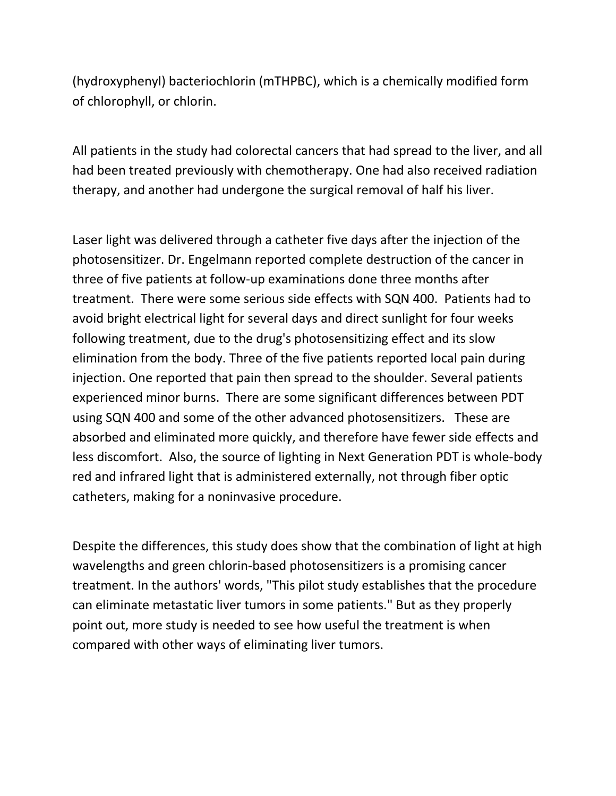(hydroxyphenyl) bacteriochlorin (mTHPBC), which is a chemically modified form of chlorophyll, or chlorin.

All patients in the study had colorectal cancers that had spread to the liver, and all had been treated previously with chemotherapy. One had also received radiation therapy, and another had undergone the surgical removal of half his liver.

Laser light was delivered through a catheter five days after the injection of the photosensitizer. Dr. Engelmann reported complete destruction of the cancer in three of five patients at follow-up examinations done three months after treatment. There were some serious side effects with SQN 400. Patients had to avoid bright electrical light for several days and direct sunlight for four weeks following treatment, due to the drug's photosensitizing effect and its slow elimination from the body. Three of the five patients reported local pain during injection. One reported that pain then spread to the shoulder. Several patients experienced minor burns. There are some significant differences between PDT using SQN 400 and some of the other advanced photosensitizers. These are absorbed and eliminated more quickly, and therefore have fewer side effects and less discomfort. Also, the source of lighting in Next Generation PDT is whole-body red and infrared light that is administered externally, not through fiber optic catheters, making for a noninvasive procedure.

Despite the differences, this study does show that the combination of light at high wavelengths and green chlorin-based photosensitizers is a promising cancer treatment. In the authors' words, "This pilot study establishes that the procedure can eliminate metastatic liver tumors in some patients." But as they properly point out, more study is needed to see how useful the treatment is when compared with other ways of eliminating liver tumors.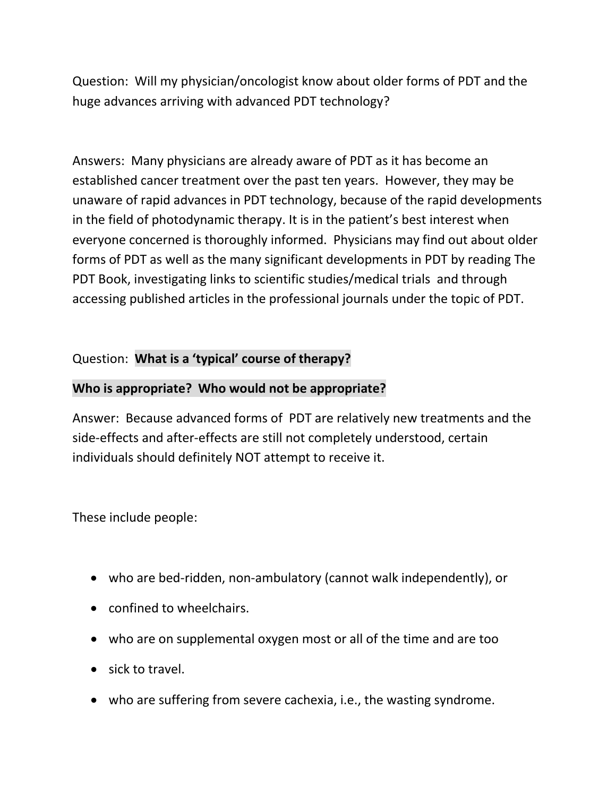Question: Will my physician/oncologist know about older forms of PDT and the huge advances arriving with advanced PDT technology?

Answers: Many physicians are already aware of PDT as it has become an established cancer treatment over the past ten years. However, they may be unaware of rapid advances in PDT technology, because of the rapid developments in the field of photodynamic therapy. It is in the patient's best interest when everyone concerned is thoroughly informed. Physicians may find out about older forms of PDT as well as the many significant developments in PDT by reading The PDT Book, investigating links to scientific studies/medical trials and through accessing published articles in the professional journals under the topic of PDT.

### Question: **What is a 'typical' course of therapy?**

### **Who is appropriate? Who would not be appropriate?**

Answer: Because advanced forms of PDT are relatively new treatments and the side-effects and after-effects are still not completely understood, certain individuals should definitely NOT attempt to receive it.

These include people:

- who are bed-ridden, non-ambulatory (cannot walk independently), or
- confined to wheelchairs.
- who are on supplemental oxygen most or all of the time and are too
- sick to travel.
- who are suffering from severe cachexia, i.e., the wasting syndrome.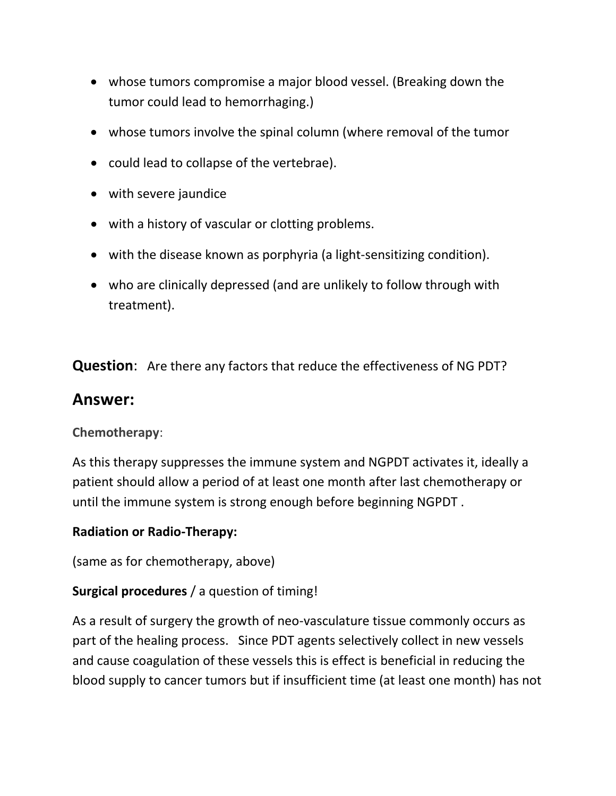- whose tumors compromise a major blood vessel. (Breaking down the tumor could lead to hemorrhaging.)
- whose tumors involve the spinal column (where removal of the tumor
- could lead to collapse of the vertebrae).
- with severe jaundice
- with a history of vascular or clotting problems.
- with the disease known as porphyria (a light-sensitizing condition).
- who are clinically depressed (and are unlikely to follow through with treatment).

**Question**: Are there any factors that reduce the effectiveness of NG PDT?

### **Answer:**

**Chemotherapy**:

As this therapy suppresses the immune system and NGPDT activates it, ideally a patient should allow a period of at least one month after last chemotherapy or until the immune system is strong enough before beginning NGPDT .

### **Radiation or Radio-Therapy:**

(same as for chemotherapy, above)

### **Surgical procedures** / a question of timing!

As a result of surgery the growth of neo-vasculature tissue commonly occurs as part of the healing process. Since PDT agents selectively collect in new vessels and cause coagulation of these vessels this is effect is beneficial in reducing the blood supply to cancer tumors but if insufficient time (at least one month) has not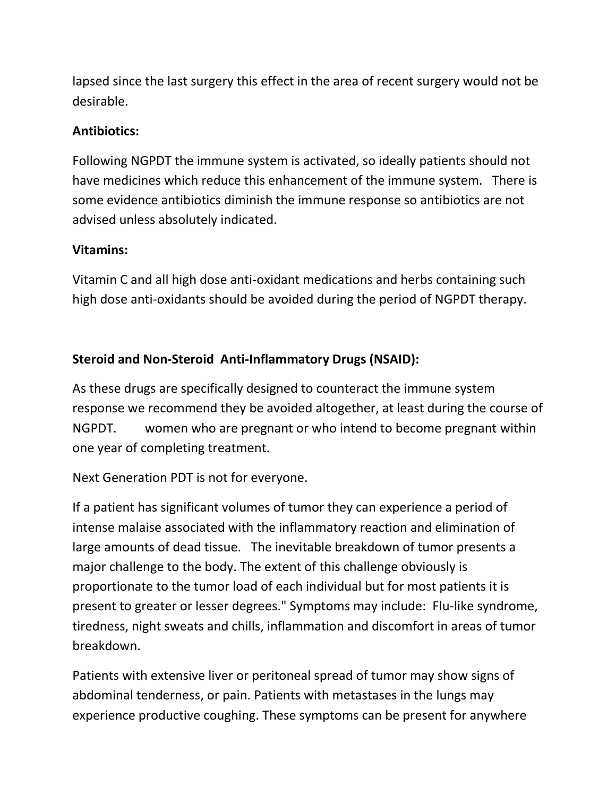lapsed since the last surgery this effect in the area of recent surgery would not be desirable.

### **Antibiotics:**

Following NGPDT the immune system is activated, so ideally patients should not have medicines which reduce this enhancement of the immune system. There is some evidence antibiotics diminish the immune response so antibiotics are not advised unless absolutely indicated.

### **Vitamins:**

Vitamin C and all high dose anti-oxidant medications and herbs containing such high dose anti-oxidants should be avoided during the period of NGPDT therapy.

# **Steroid and Non-Steroid Anti-Inflammatory Drugs (NSAID):**

As these drugs are specifically designed to counteract the immune system response we recommend they be avoided altogether, at least during the course of NGPDT. women who are pregnant or who intend to become pregnant within one year of completing treatment.

Next Generation PDT is not for everyone.

If a patient has significant volumes of tumor they can experience a period of intense malaise associated with the inflammatory reaction and elimination of large amounts of dead tissue. The inevitable breakdown of tumor presents a major challenge to the body. The extent of this challenge obviously is proportionate to the tumor load of each individual but for most patients it is present to greater or lesser degrees." Symptoms may include: Flu-like syndrome, tiredness, night sweats and chills, inflammation and discomfort in areas of tumor breakdown.

Patients with extensive liver or peritoneal spread of tumor may show signs of abdominal tenderness, or pain. Patients with metastases in the lungs may experience productive coughing. These symptoms can be present for anywhere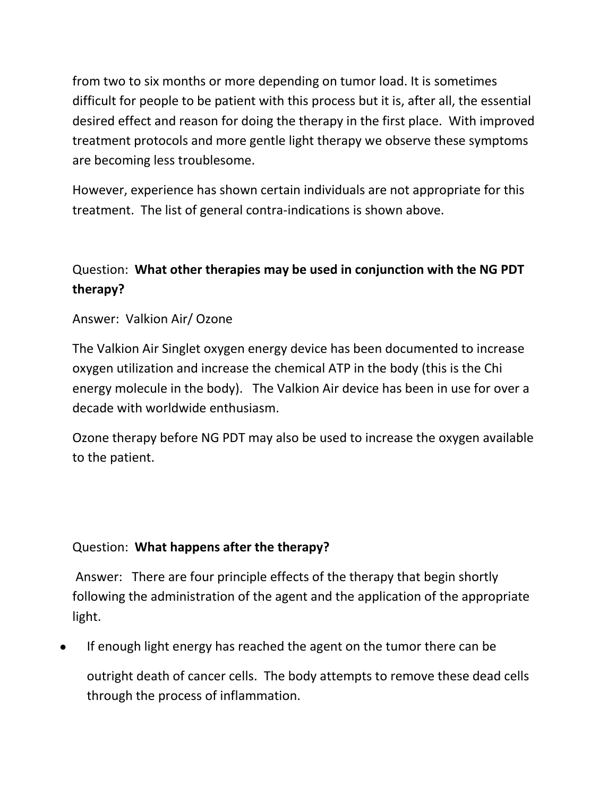from two to six months or more depending on tumor load. It is sometimes difficult for people to be patient with this process but it is, after all, the essential desired effect and reason for doing the therapy in the first place. With improved treatment protocols and more gentle light therapy we observe these symptoms are becoming less troublesome.

However, experience has shown certain individuals are not appropriate for this treatment. The list of general contra-indications is shown above.

# Question: **What other therapies may be used in conjunction with the NG PDT therapy?**

Answer: Valkion Air/ Ozone

The Valkion Air Singlet oxygen energy device has been documented to increase oxygen utilization and increase the chemical ATP in the body (this is the Chi energy molecule in the body). The Valkion Air device has been in use for over a decade with worldwide enthusiasm.

Ozone therapy before NG PDT may also be used to increase the oxygen available to the patient.

### Question: **What happens after the therapy?**

Answer: There are four principle effects of the therapy that begin shortly following the administration of the agent and the application of the appropriate light.

• If enough light energy has reached the agent on the tumor there can be

outright death of cancer cells. The body attempts to remove these dead cells through the process of inflammation.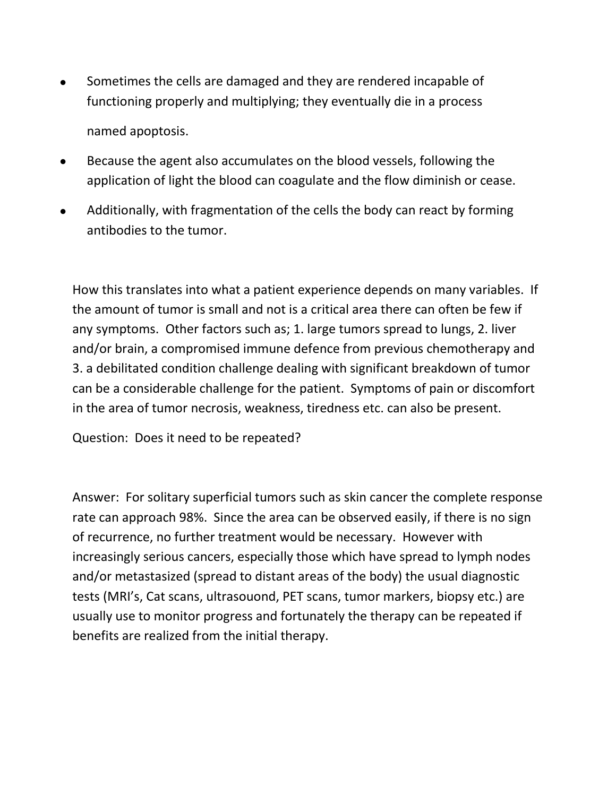- Sometimes the cells are damaged and they are rendered incapable of functioning properly and multiplying; they eventually die in a process named apoptosis.
- Because the agent also accumulates on the blood vessels, following the application of light the blood can coagulate and the flow diminish or cease.
- Additionally, with fragmentation of the cells the body can react by forming antibodies to the tumor.

How this translates into what a patient experience depends on many variables. If the amount of tumor is small and not is a critical area there can often be few if any symptoms. Other factors such as; 1. large tumors spread to lungs, 2. liver and/or brain, a compromised immune defence from previous chemotherapy and 3. a debilitated condition challenge dealing with significant breakdown of tumor can be a considerable challenge for the patient. Symptoms of pain or discomfort in the area of tumor necrosis, weakness, tiredness etc. can also be present.

Question: Does it need to be repeated?

Answer: For solitary superficial tumors such as skin cancer the complete response rate can approach 98%. Since the area can be observed easily, if there is no sign of recurrence, no further treatment would be necessary. However with increasingly serious cancers, especially those which have spread to lymph nodes and/or metastasized (spread to distant areas of the body) the usual diagnostic tests (MRI's, Cat scans, ultrasouond, PET scans, tumor markers, biopsy etc.) are usually use to monitor progress and fortunately the therapy can be repeated if benefits are realized from the initial therapy.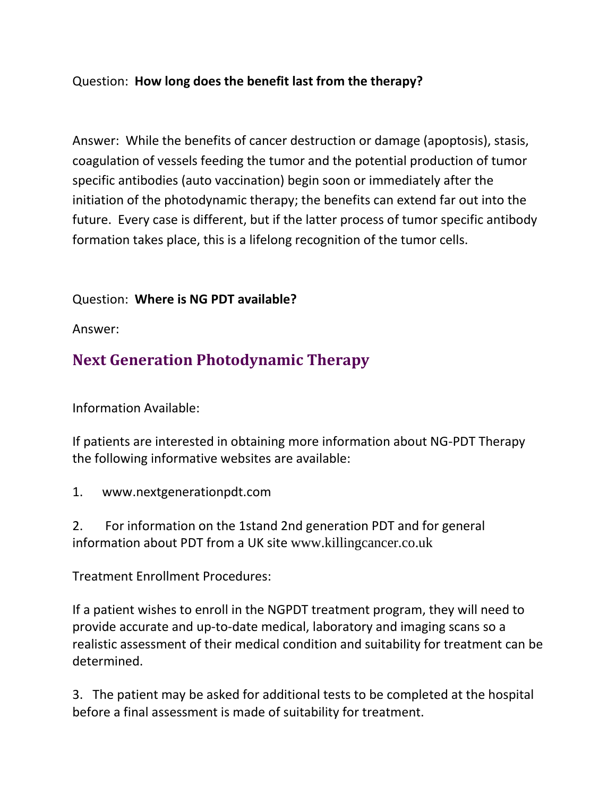### Question: **How long does the benefit last from the therapy?**

Answer: While the benefits of cancer destruction or damage (apoptosis), stasis, coagulation of vessels feeding the tumor and the potential production of tumor specific antibodies (auto vaccination) begin soon or immediately after the initiation of the photodynamic therapy; the benefits can extend far out into the future. Every case is different, but if the latter process of tumor specific antibody formation takes place, this is a lifelong recognition of the tumor cells.

### Question: **Where is NG PDT available?**

Answer:

# **Next Generation Photodynamic Therapy**

Information Available:

If patients are interested in obtaining more information about NG-PDT Therapy the following informative websites are available:

1. [www.nextgenerationpdt.com](http://www.nextgenerationpdt.com/)

2. For information on the 1stand 2nd generation PDT and for general information about PDT from a UK site [www.killingcancer.co.uk](http://www.killingcancer.co.uk/)

Treatment Enrollment Procedures:

If a patient wishes to enroll in the NGPDT treatment program, they will need to provide accurate and up-to-date medical, laboratory and imaging scans so a realistic assessment of their medical condition and suitability for treatment can be determined.

3. The patient may be asked for additional tests to be completed at the hospital before a final assessment is made of suitability for treatment.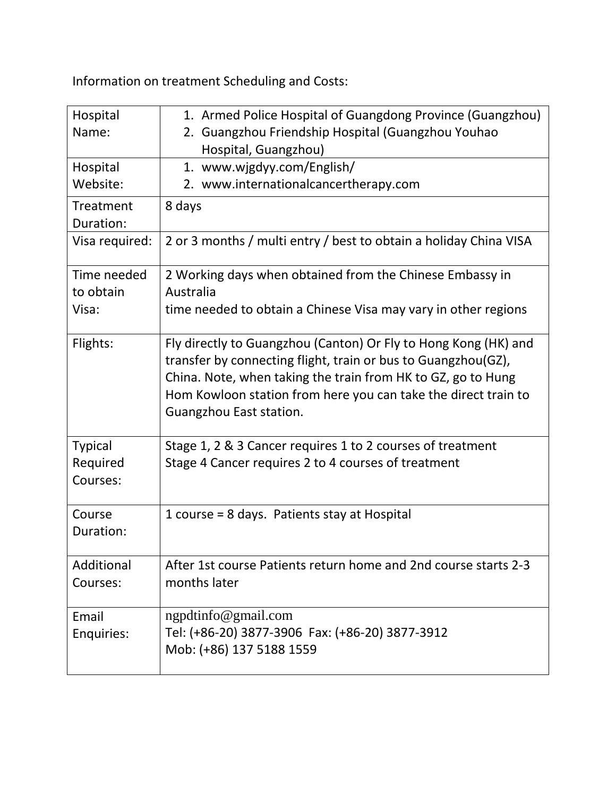Information on treatment Scheduling and Costs:

| Hospital<br>Name:                      | 1. Armed Police Hospital of Guangdong Province (Guangzhou)<br>2. Guangzhou Friendship Hospital (Guangzhou Youhao<br>Hospital, Guangzhou)                                                                                                                                                      |
|----------------------------------------|-----------------------------------------------------------------------------------------------------------------------------------------------------------------------------------------------------------------------------------------------------------------------------------------------|
| Hospital                               | 1. www.wjgdyy.com/English/                                                                                                                                                                                                                                                                    |
| Website:                               | 2. www.internationalcancertherapy.com                                                                                                                                                                                                                                                         |
| Treatment                              | 8 days                                                                                                                                                                                                                                                                                        |
| Duration:                              |                                                                                                                                                                                                                                                                                               |
| Visa required:                         | 2 or 3 months / multi entry / best to obtain a holiday China VISA                                                                                                                                                                                                                             |
| Time needed<br>to obtain               | 2 Working days when obtained from the Chinese Embassy in<br>Australia                                                                                                                                                                                                                         |
| Visa:                                  | time needed to obtain a Chinese Visa may vary in other regions                                                                                                                                                                                                                                |
| Flights:                               | Fly directly to Guangzhou (Canton) Or Fly to Hong Kong (HK) and<br>transfer by connecting flight, train or bus to Guangzhou(GZ),<br>China. Note, when taking the train from HK to GZ, go to Hung<br>Hom Kowloon station from here you can take the direct train to<br>Guangzhou East station. |
| <b>Typical</b><br>Required<br>Courses: | Stage 1, 2 & 3 Cancer requires 1 to 2 courses of treatment<br>Stage 4 Cancer requires 2 to 4 courses of treatment                                                                                                                                                                             |
| Course<br>Duration:                    | 1 course = 8 days. Patients stay at Hospital                                                                                                                                                                                                                                                  |
| Additional<br>Courses:                 | After 1st course Patients return home and 2nd course starts 2-3<br>months later                                                                                                                                                                                                               |
| Email<br>Enquiries:                    | ngpdtinfo@gmail.com<br>Tel: (+86-20) 3877-3906 Fax: (+86-20) 3877-3912<br>Mob: (+86) 137 5188 1559                                                                                                                                                                                            |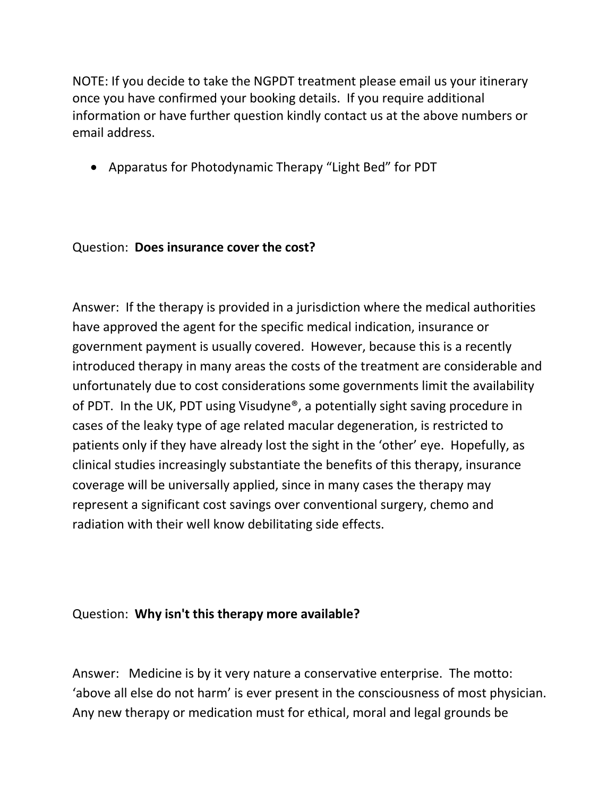NOTE: If you decide to take the NGPDT treatment please email us your itinerary once you have confirmed your booking details. If you require additional information or have further question kindly contact us at the above numbers or email address.

• Apparatus for Photodynamic Therapy "Light Bed" for PDT

### Question: **Does insurance cover the cost?**

Answer: If the therapy is provided in a jurisdiction where the medical authorities have approved the agent for the specific medical indication, insurance or government payment is usually covered. However, because this is a recently introduced therapy in many areas the costs of the treatment are considerable and unfortunately due to cost considerations some governments limit the availability of PDT. In the UK, PDT using Visudyne®, a potentially sight saving procedure in cases of the leaky type of age related macular degeneration, is restricted to patients only if they have already lost the sight in the 'other' eye. Hopefully, as clinical studies increasingly substantiate the benefits of this therapy, insurance coverage will be universally applied, since in many cases the therapy may represent a significant cost savings over conventional surgery, chemo and radiation with their well know debilitating side effects.

### Question: **Why isn't this therapy more available?**

Answer: Medicine is by it very nature a conservative enterprise. The motto: 'above all else do not harm' is ever present in the consciousness of most physician. Any new therapy or medication must for ethical, moral and legal grounds be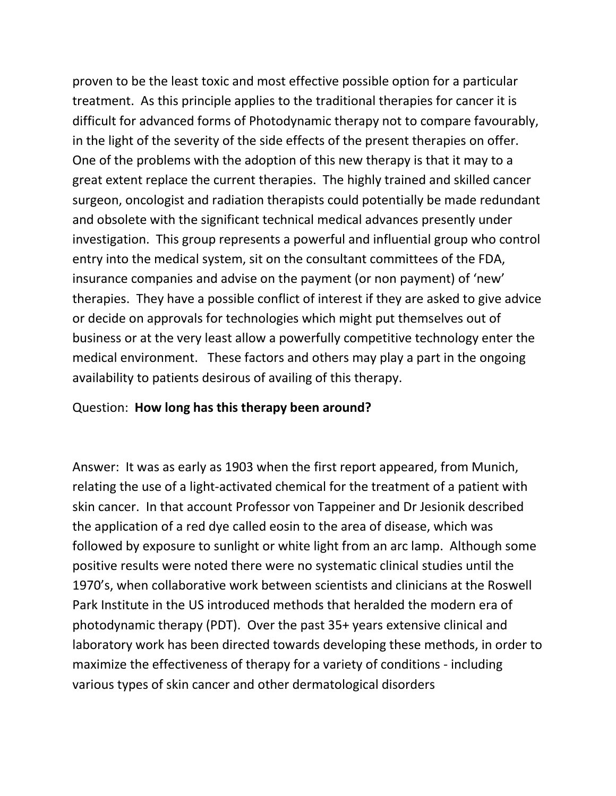proven to be the least toxic and most effective possible option for a particular treatment. As this principle applies to the traditional therapies for cancer it is difficult for advanced forms of Photodynamic therapy not to compare favourably, in the light of the severity of the side effects of the present therapies on offer. One of the problems with the adoption of this new therapy is that it may to a great extent replace the current therapies. The highly trained and skilled cancer surgeon, oncologist and radiation therapists could potentially be made redundant and obsolete with the significant technical medical advances presently under investigation. This group represents a powerful and influential group who control entry into the medical system, sit on the consultant committees of the FDA, insurance companies and advise on the payment (or non payment) of 'new' therapies. They have a possible conflict of interest if they are asked to give advice or decide on approvals for technologies which might put themselves out of business or at the very least allow a powerfully competitive technology enter the medical environment. These factors and others may play a part in the ongoing availability to patients desirous of availing of this therapy.

### Question: **How long has this therapy been around?**

Answer: It was as early as 1903 when the first report appeared, from Munich, relating the use of a light-activated chemical for the treatment of a patient with skin cancer. In that account Professor von Tappeiner and Dr Jesionik described the application of a red dye called eosin to the area of disease, which was followed by exposure to sunlight or white light from an arc lamp. Although some positive results were noted there were no systematic clinical studies until the 1970's, when collaborative work between scientists and clinicians at the Roswell Park Institute in the US introduced methods that heralded the modern era of photodynamic therapy (PDT). Over the past 35+ years extensive clinical and laboratory work has been directed towards developing these methods, in order to maximize the effectiveness of therapy for a variety of conditions - including various types of skin cancer and other dermatological disorders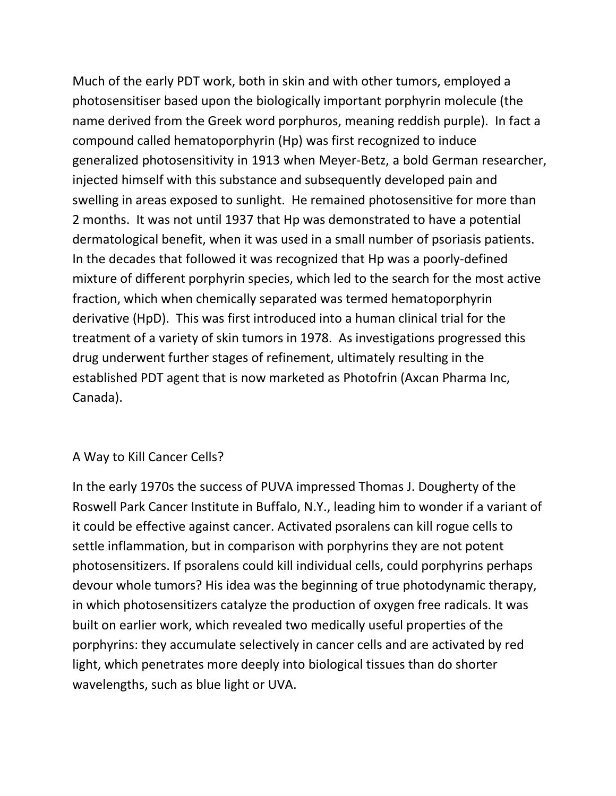Much of the early PDT work, both in skin and with other tumors, employed a photosensitiser based upon the biologically important porphyrin molecule (the name derived from the Greek word porphuros, meaning reddish purple). In fact a compound called hematoporphyrin (Hp) was first recognized to induce generalized photosensitivity in 1913 when Meyer-Betz, a bold German researcher, injected himself with this substance and subsequently developed pain and swelling in areas exposed to sunlight. He remained photosensitive for more than 2 months. It was not until 1937 that Hp was demonstrated to have a potential dermatological benefit, when it was used in a small number of psoriasis patients. In the decades that followed it was recognized that Hp was a poorly-defined mixture of different porphyrin species, which led to the search for the most active fraction, which when chemically separated was termed hematoporphyrin derivative (HpD). This was first introduced into a human clinical trial for the treatment of a variety of skin tumors in 1978. As investigations progressed this drug underwent further stages of refinement, ultimately resulting in the established PDT agent that is now marketed as Photofrin (Axcan Pharma Inc, Canada).

### A Way to Kill Cancer Cells?

In the early 1970s the success of PUVA impressed Thomas J. Dougherty of the Roswell Park Cancer Institute in Buffalo, N.Y., leading him to wonder if a variant of it could be effective against cancer. Activated psoralens can kill rogue cells to settle inflammation, but in comparison with porphyrins they are not potent photosensitizers. If psoralens could kill individual cells, could porphyrins perhaps devour whole tumors? His idea was the beginning of true photodynamic therapy, in which photosensitizers catalyze the production of oxygen free radicals. It was built on earlier work, which revealed two medically useful properties of the porphyrins: they accumulate selectively in cancer cells and are activated by red light, which penetrates more deeply into biological tissues than do shorter wavelengths, such as blue light or UVA.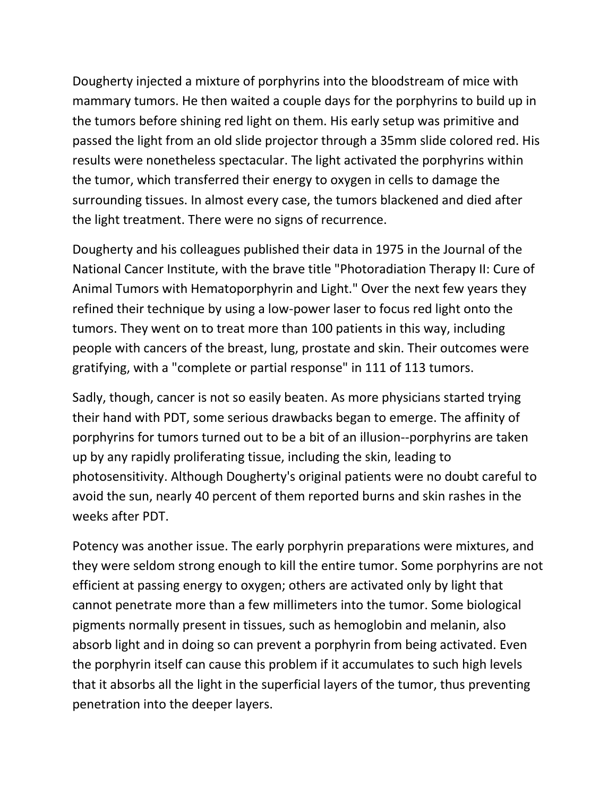Dougherty injected a mixture of porphyrins into the bloodstream of mice with mammary tumors. He then waited a couple days for the porphyrins to build up in the tumors before shining red light on them. His early setup was primitive and passed the light from an old slide projector through a 35mm slide colored red. His results were nonetheless spectacular. The light activated the porphyrins within the tumor, which transferred their energy to oxygen in cells to damage the surrounding tissues. In almost every case, the tumors blackened and died after the light treatment. There were no signs of recurrence.

Dougherty and his colleagues published their data in 1975 in the Journal of the National Cancer Institute, with the brave title "Photoradiation Therapy II: Cure of Animal Tumors with Hematoporphyrin and Light." Over the next few years they refined their technique by using a low-power laser to focus red light onto the tumors. They went on to treat more than 100 patients in this way, including people with cancers of the breast, lung, prostate and skin. Their outcomes were gratifying, with a "complete or partial response" in 111 of 113 tumors.

Sadly, though, cancer is not so easily beaten. As more physicians started trying their hand with PDT, some serious drawbacks began to emerge. The affinity of porphyrins for tumors turned out to be a bit of an illusion--porphyrins are taken up by any rapidly proliferating tissue, including the skin, leading to photosensitivity. Although Dougherty's original patients were no doubt careful to avoid the sun, nearly 40 percent of them reported burns and skin rashes in the weeks after PDT.

Potency was another issue. The early porphyrin preparations were mixtures, and they were seldom strong enough to kill the entire tumor. Some porphyrins are not efficient at passing energy to oxygen; others are activated only by light that cannot penetrate more than a few millimeters into the tumor. Some biological pigments normally present in tissues, such as hemoglobin and melanin, also absorb light and in doing so can prevent a porphyrin from being activated. Even the porphyrin itself can cause this problem if it accumulates to such high levels that it absorbs all the light in the superficial layers of the tumor, thus preventing penetration into the deeper layers.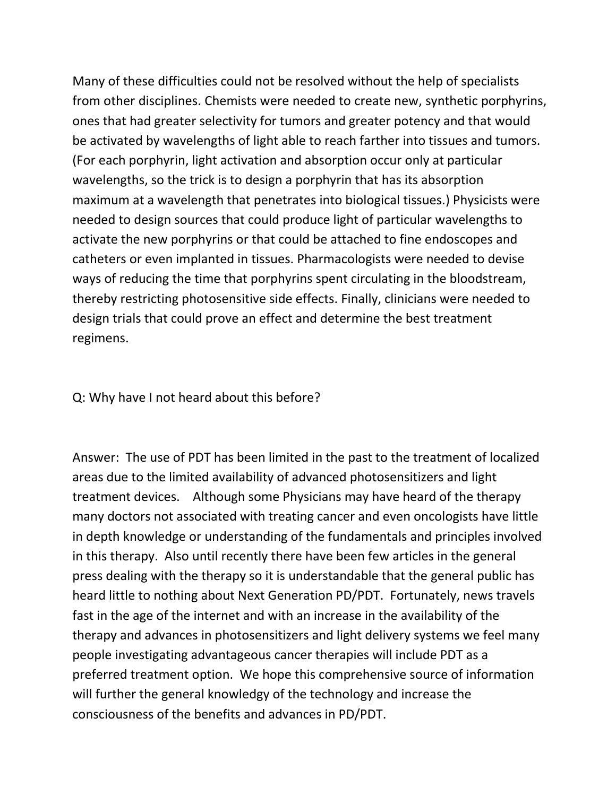Many of these difficulties could not be resolved without the help of specialists from other disciplines. Chemists were needed to create new, synthetic porphyrins, ones that had greater selectivity for tumors and greater potency and that would be activated by wavelengths of light able to reach farther into tissues and tumors. (For each porphyrin, light activation and absorption occur only at particular wavelengths, so the trick is to design a porphyrin that has its absorption maximum at a wavelength that penetrates into biological tissues.) Physicists were needed to design sources that could produce light of particular wavelengths to activate the new porphyrins or that could be attached to fine endoscopes and catheters or even implanted in tissues. Pharmacologists were needed to devise ways of reducing the time that porphyrins spent circulating in the bloodstream, thereby restricting photosensitive side effects. Finally, clinicians were needed to design trials that could prove an effect and determine the best treatment regimens.

#### Q: Why have I not heard about this before?

Answer: The use of PDT has been limited in the past to the treatment of localized areas due to the limited availability of advanced photosensitizers and light treatment devices. Although some Physicians may have heard of the therapy many doctors not associated with treating cancer and even oncologists have little in depth knowledge or understanding of the fundamentals and principles involved in this therapy. Also until recently there have been few articles in the general press dealing with the therapy so it is understandable that the general public has heard little to nothing about Next Generation PD/PDT. Fortunately, news travels fast in the age of the internet and with an increase in the availability of the therapy and advances in photosensitizers and light delivery systems we feel many people investigating advantageous cancer therapies will include PDT as a preferred treatment option. We hope this comprehensive source of information will further the general knowledgy of the technology and increase the consciousness of the benefits and advances in PD/PDT.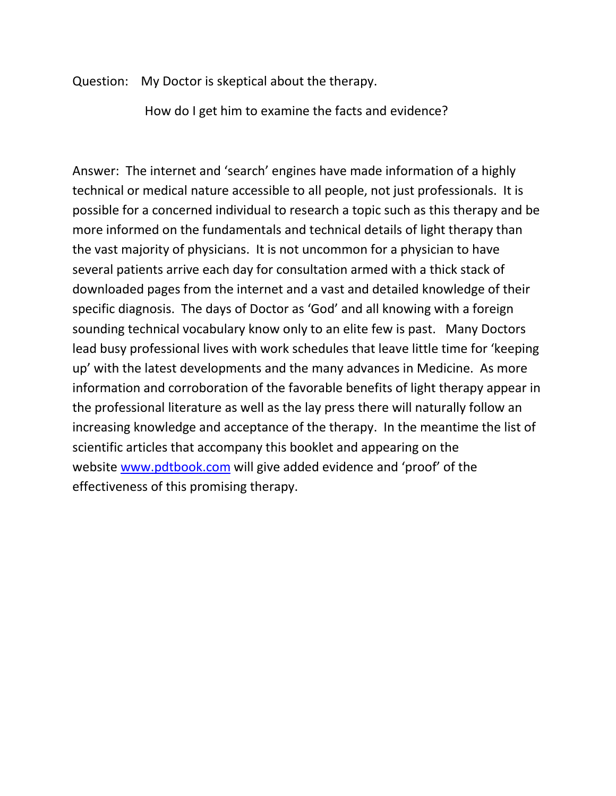Question: My Doctor is skeptical about the therapy.

How do I get him to examine the facts and evidence?

Answer: The internet and 'search' engines have made information of a highly technical or medical nature accessible to all people, not just professionals. It is possible for a concerned individual to research a topic such as this therapy and be more informed on the fundamentals and technical details of light therapy than the vast majority of physicians. It is not uncommon for a physician to have several patients arrive each day for consultation armed with a thick stack of downloaded pages from the internet and a vast and detailed knowledge of their specific diagnosis. The days of Doctor as 'God' and all knowing with a foreign sounding technical vocabulary know only to an elite few is past. Many Doctors lead busy professional lives with work schedules that leave little time for 'keeping up' with the latest developments and the many advances in Medicine. As more information and corroboration of the favorable benefits of light therapy appear in the professional literature as well as the lay press there will naturally follow an increasing knowledge and acceptance of the therapy. In the meantime the list of scientific articles that accompany this booklet and appearing on the website [www.pdtbook.com](http://www.pdtbook.com/) will give added evidence and 'proof' of the effectiveness of this promising therapy.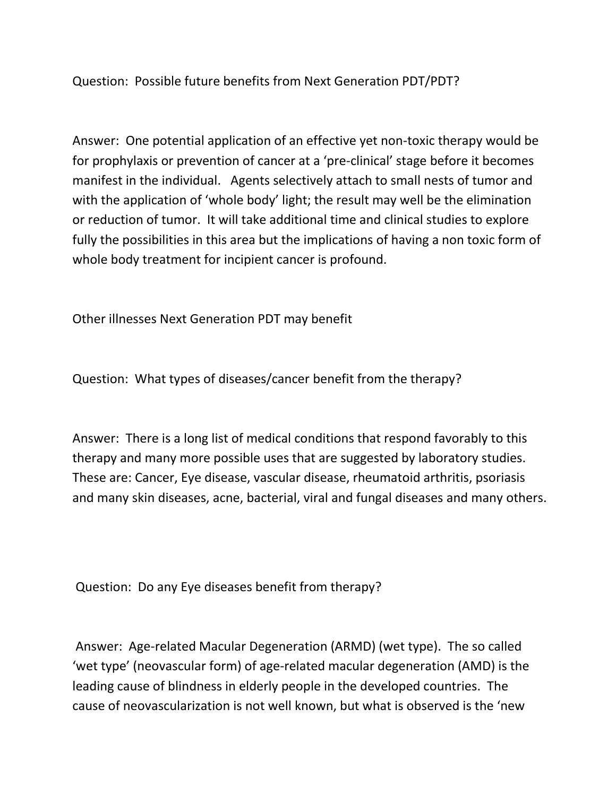Question: Possible future benefits from Next Generation PDT/PDT?

Answer: One potential application of an effective yet non-toxic therapy would be for prophylaxis or prevention of cancer at a 'pre-clinical' stage before it becomes manifest in the individual. Agents selectively attach to small nests of tumor and with the application of 'whole body' light; the result may well be the elimination or reduction of tumor. It will take additional time and clinical studies to explore fully the possibilities in this area but the implications of having a non toxic form of whole body treatment for incipient cancer is profound.

Other illnesses Next Generation PDT may benefit

Question: What types of diseases/cancer benefit from the therapy?

Answer: There is a long list of medical conditions that respond favorably to this therapy and many more possible uses that are suggested by laboratory studies. These are: Cancer, Eye disease, vascular disease, rheumatoid arthritis, psoriasis and many skin diseases, acne, bacterial, viral and fungal diseases and many others.

Question: Do any Eye diseases benefit from therapy?

Answer: Age-related Macular Degeneration (ARMD) (wet type). The so called 'wet type' (neovascular form) of age-related macular degeneration (AMD) is the leading cause of blindness in elderly people in the developed countries. The cause of neovascularization is not well known, but what is observed is the 'new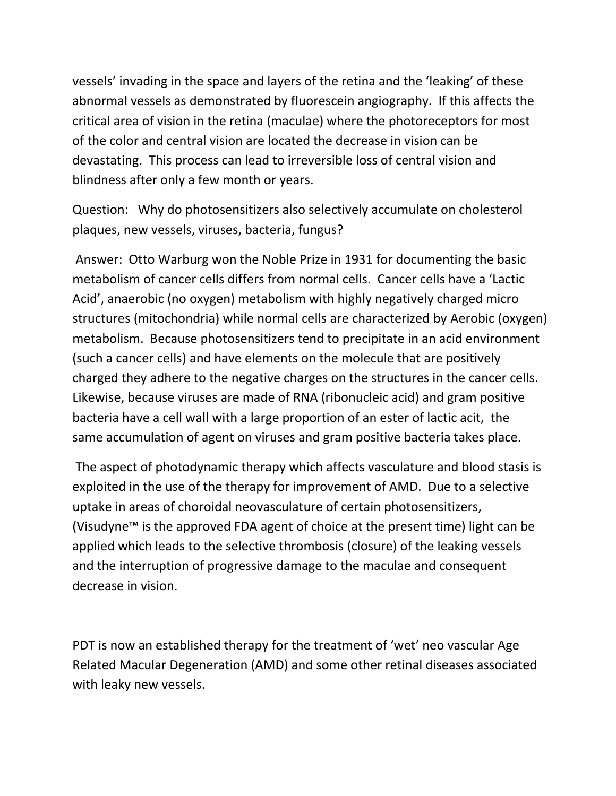vessels' invading in the space and layers of the retina and the 'leaking' of these abnormal vessels as demonstrated by fluorescein angiography. If this affects the critical area of vision in the retina (maculae) where the photoreceptors for most of the color and central vision are located the decrease in vision can be devastating. This process can lead to irreversible loss of central vision and blindness after only a few month or years.

Question: Why do photosensitizers also selectively accumulate on cholesterol plaques, new vessels, viruses, bacteria, fungus?

Answer: Otto Warburg won the Noble Prize in 1931 for documenting the basic metabolism of cancer cells differs from normal cells. Cancer cells have a 'Lactic Acid', anaerobic (no oxygen) metabolism with highly negatively charged micro structures (mitochondria) while normal cells are characterized by Aerobic (oxygen) metabolism. Because photosensitizers tend to precipitate in an acid environment (such a cancer cells) and have elements on the molecule that are positively charged they adhere to the negative charges on the structures in the cancer cells. Likewise, because viruses are made of RNA (ribonucleic acid) and gram positive bacteria have a cell wall with a large proportion of an ester of lactic acit, the same accumulation of agent on viruses and gram positive bacteria takes place.

The aspect of photodynamic therapy which affects vasculature and blood stasis is exploited in the use of the therapy for improvement of AMD. Due to a selective uptake in areas of choroidal neovasculature of certain photosensitizers, (Visudyne™ is the approved FDA agent of choice at the present time) light can be applied which leads to the selective thrombosis (closure) of the leaking vessels and the interruption of progressive damage to the maculae and consequent decrease in vision.

PDT is now an established therapy for the treatment of 'wet' neo vascular Age Related Macular Degeneration (AMD) and some other retinal diseases associated with leaky new vessels.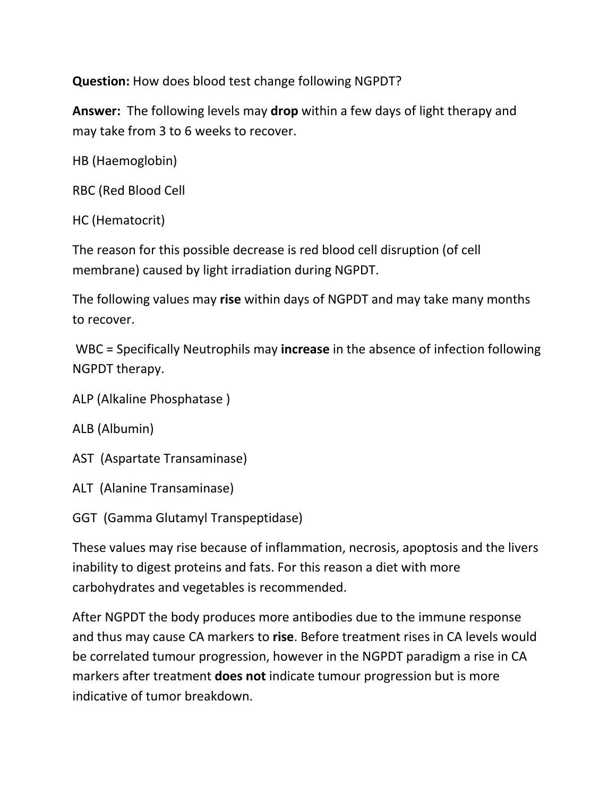**Question:** How does blood test change following NGPDT?

**Answer:** The following levels may **drop** within a few days of light therapy and may take from 3 to 6 weeks to recover.

```
HB (Haemoglobin)
```
RBC (Red Blood Cell

```
HC (Hematocrit)
```
The reason for this possible decrease is red blood cell disruption (of cell membrane) caused by light irradiation during NGPDT.

The following values may **rise** within days of NGPDT and may take many months to recover.

WBC = Specifically Neutrophils may **increase** in the absence of infection following NGPDT therapy.

```
ALP (Alkaline Phosphatase )
```

```
ALB (Albumin)
```
AST (Aspartate Transaminase)

ALT (Alanine Transaminase)

GGT (Gamma Glutamyl Transpeptidase)

These values may rise because of inflammation, necrosis, apoptosis and the livers inability to digest proteins and fats. For this reason a diet with more carbohydrates and vegetables is recommended.

After NGPDT the body produces more antibodies due to the immune response and thus may cause CA markers to **rise**. Before treatment rises in CA levels would be correlated tumour progression, however in the NGPDT paradigm a rise in CA markers after treatment **does not** indicate tumour progression but is more indicative of tumor breakdown.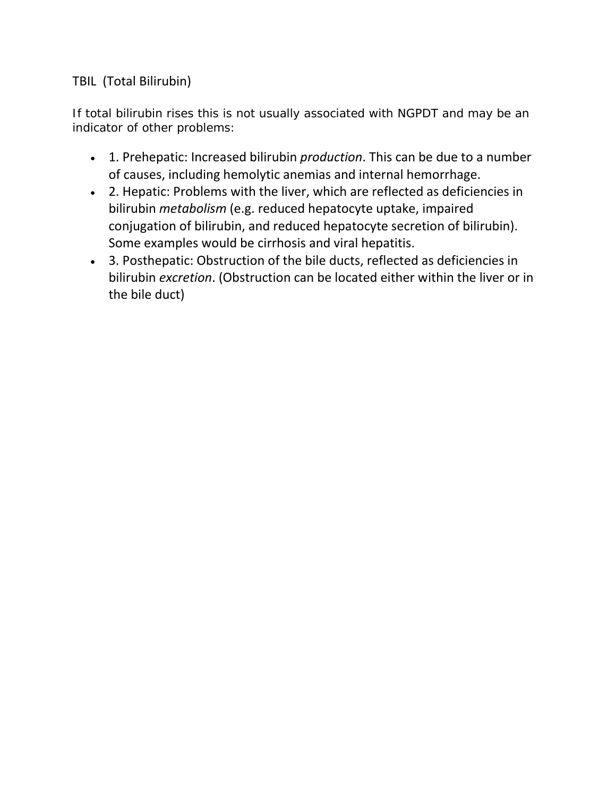### TBIL (Total Bilirubin)

If total bilirubin rises this is not usually associated with NGPDT and may be an indicator of other problems:

- 1. Prehepatic: Increased bilirubin *production*. This can be due to a number of causes, including hemolytic anemias and internal hemorrhage.
- 2. Hepatic: Problems with the liver, which are reflected as deficiencies in bilirubin *metabolism* (e.g. reduced hepatocyte uptake, impaired conjugation of bilirubin, and reduced hepatocyte secretion of bilirubin). Some examples would be cirrhosis and viral hepatitis.
- 3. Posthepatic: Obstruction of the bile ducts, reflected as deficiencies in bilirubin *excretion*. (Obstruction can be located either within the liver or in the bile duct)